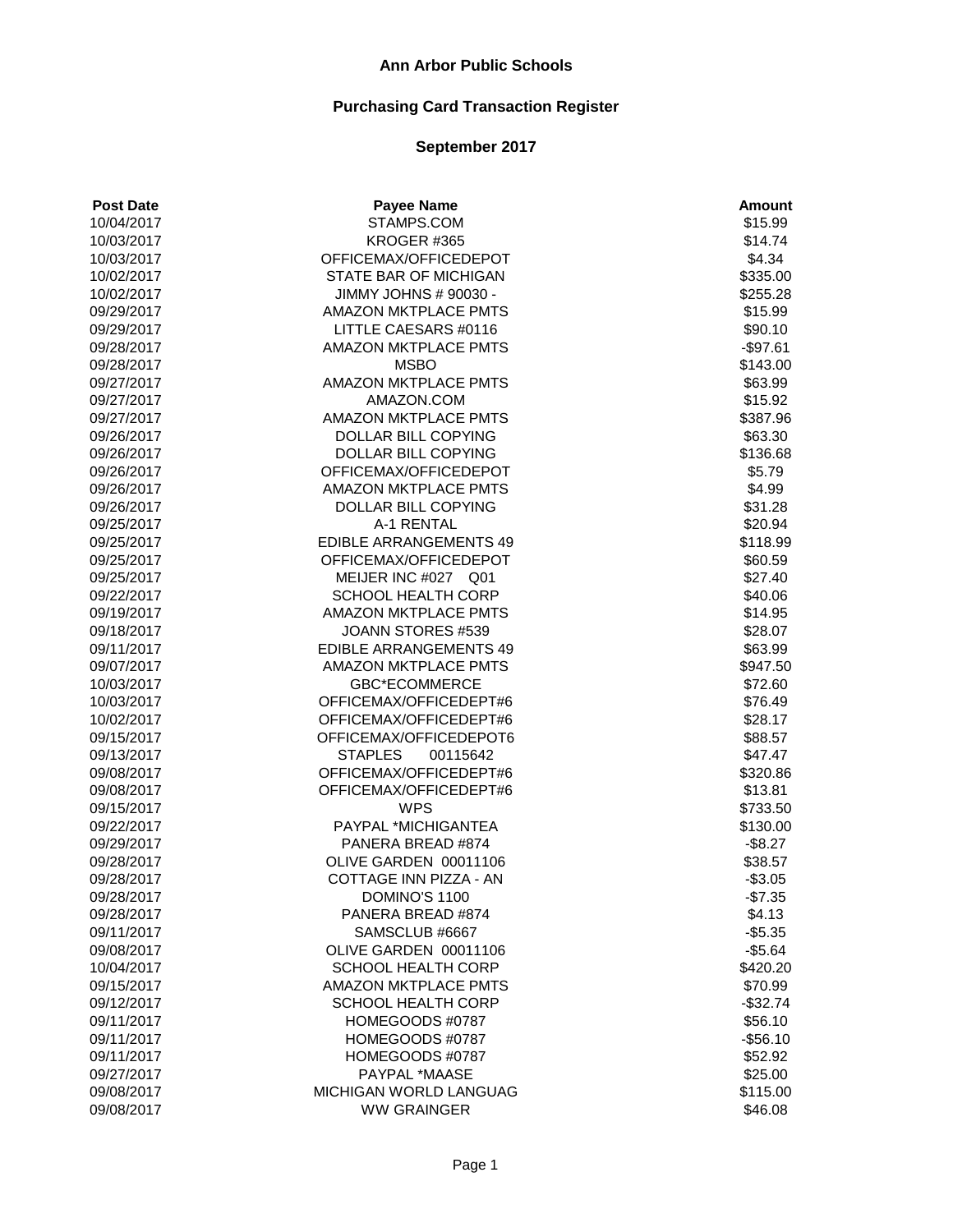| <b>Post Date</b> | <b>Payee Name</b>             | <b>Amount</b>      |
|------------------|-------------------------------|--------------------|
| 10/04/2017       | STAMPS.COM                    | \$15.99            |
| 10/03/2017       | KROGER #365                   | \$14.74            |
| 10/03/2017       | OFFICEMAX/OFFICEDEPOT         | \$4.34             |
| 10/02/2017       | STATE BAR OF MICHIGAN         | \$335.00           |
| 10/02/2017       | JIMMY JOHNS # 90030 -         | \$255.28           |
| 09/29/2017       | AMAZON MKTPLACE PMTS          | \$15.99            |
| 09/29/2017       | LITTLE CAESARS #0116          | \$90.10            |
| 09/28/2017       | AMAZON MKTPLACE PMTS          | $-$97.61$          |
| 09/28/2017       | <b>MSBO</b>                   | \$143.00           |
| 09/27/2017       | <b>AMAZON MKTPLACE PMTS</b>   | \$63.99            |
| 09/27/2017       | AMAZON.COM                    | \$15.92            |
| 09/27/2017       | <b>AMAZON MKTPLACE PMTS</b>   | \$387.96           |
| 09/26/2017       | DOLLAR BILL COPYING           | \$63.30            |
| 09/26/2017       | DOLLAR BILL COPYING           | \$136.68           |
| 09/26/2017       | OFFICEMAX/OFFICEDEPOT         | \$5.79             |
| 09/26/2017       | <b>AMAZON MKTPLACE PMTS</b>   | \$4.99             |
| 09/26/2017       | DOLLAR BILL COPYING           | \$31.28            |
| 09/25/2017       | A-1 RENTAL                    | \$20.94            |
| 09/25/2017       | <b>EDIBLE ARRANGEMENTS 49</b> | \$118.99           |
| 09/25/2017       | OFFICEMAX/OFFICEDEPOT         | \$60.59            |
| 09/25/2017       | MEIJER INC #027 Q01           | \$27.40            |
| 09/22/2017       | <b>SCHOOL HEALTH CORP</b>     | \$40.06            |
| 09/19/2017       | <b>AMAZON MKTPLACE PMTS</b>   | \$14.95            |
| 09/18/2017       | JOANN STORES #539             | \$28.07            |
| 09/11/2017       | <b>EDIBLE ARRANGEMENTS 49</b> | \$63.99            |
| 09/07/2017       | <b>AMAZON MKTPLACE PMTS</b>   | \$947.50           |
| 10/03/2017       | <b>GBC*ECOMMERCE</b>          | \$72.60            |
| 10/03/2017       | OFFICEMAX/OFFICEDEPT#6        | \$76.49            |
| 10/02/2017       | OFFICEMAX/OFFICEDEPT#6        | \$28.17            |
| 09/15/2017       | OFFICEMAX/OFFICEDEPOT6        | \$88.57            |
| 09/13/2017       | <b>STAPLES</b><br>00115642    | \$47.47            |
| 09/08/2017       | OFFICEMAX/OFFICEDEPT#6        | \$320.86           |
| 09/08/2017       | OFFICEMAX/OFFICEDEPT#6        | \$13.81            |
| 09/15/2017       | <b>WPS</b>                    | \$733.50           |
| 09/22/2017       | PAYPAL *MICHIGANTEA           | \$130.00           |
| 09/29/2017       | PANERA BREAD #874             | $-$ \$8.27         |
| 09/28/2017       | OLIVE GARDEN 00011106         | \$38.57            |
| 09/28/2017       | COTTAGE INN PIZZA - AN        | $-$3.05$           |
| 09/28/2017       | DOMINO'S 1100                 | $-$7.35$           |
| 09/28/2017       | PANERA BREAD #874             | \$4.13             |
| 09/11/2017       | SAMSCLUB #6667                | $-$5.35$           |
| 09/08/2017       | OLIVE GARDEN 00011106         | $-$5.64$           |
| 10/04/2017       | <b>SCHOOL HEALTH CORP</b>     | \$420.20           |
| 09/15/2017       | <b>AMAZON MKTPLACE PMTS</b>   | \$70.99            |
| 09/12/2017       | <b>SCHOOL HEALTH CORP</b>     | $-$ \$32.74        |
| 09/11/2017       | HOMEGOODS #0787               | \$56.10            |
| 09/11/2017       | HOMEGOODS #0787               |                    |
| 09/11/2017       | HOMEGOODS #0787               | $-$56.10$          |
| 09/27/2017       | PAYPAL *MAASE                 | \$52.92<br>\$25.00 |
|                  |                               |                    |
| 09/08/2017       | MICHIGAN WORLD LANGUAG        | \$115.00           |
| 09/08/2017       | <b>WW GRAINGER</b>            | \$46.08            |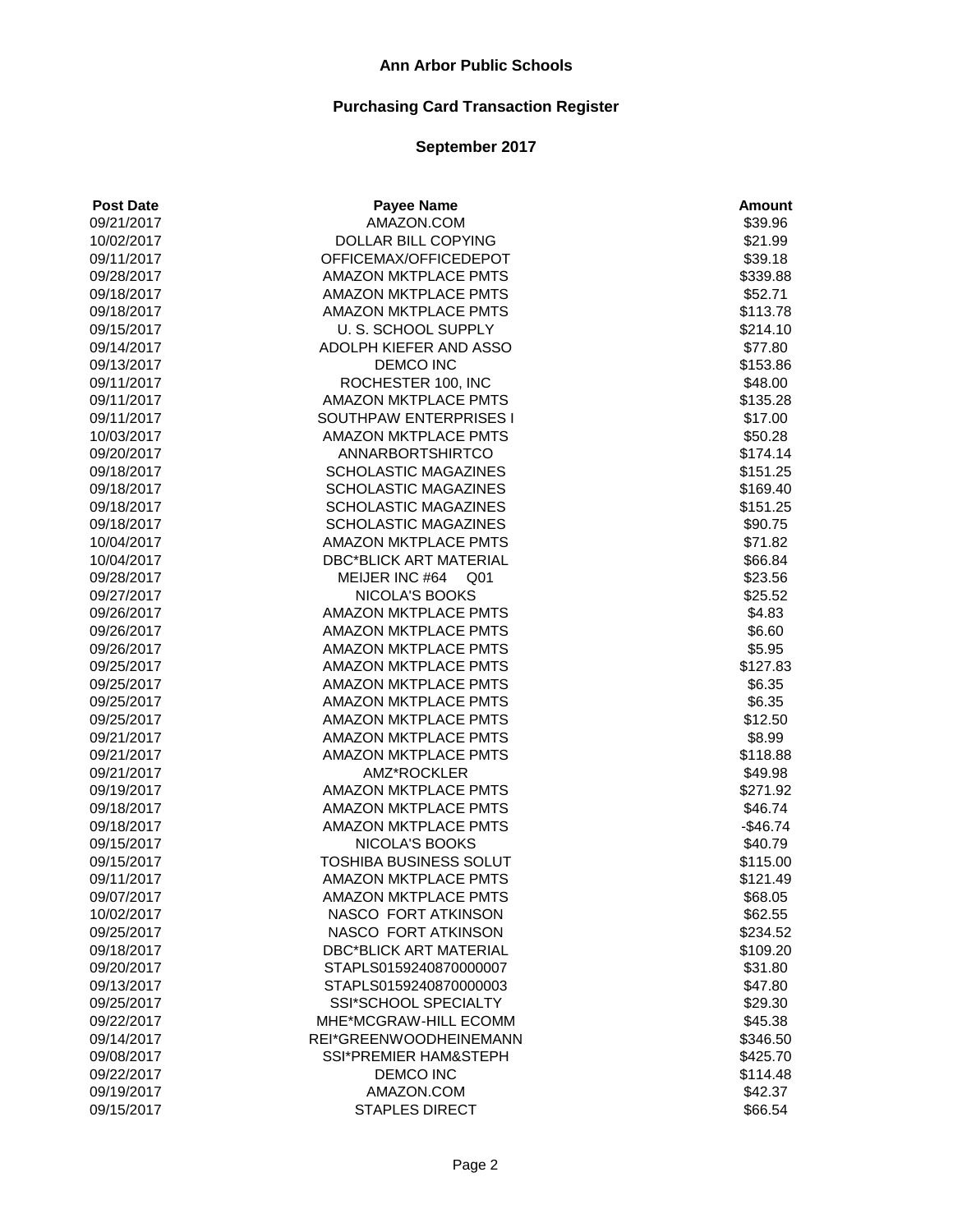| AMAZON.COM<br>\$39.96<br>09/21/2017<br>DOLLAR BILL COPYING<br>\$21.99<br>10/02/2017<br>\$39.18<br>09/11/2017<br>OFFICEMAX/OFFICEDEPOT<br>AMAZON MKTPLACE PMTS<br>09/28/2017<br>\$339.88<br>AMAZON MKTPLACE PMTS<br>\$52.71<br>09/18/2017<br><b>AMAZON MKTPLACE PMTS</b><br>\$113.78<br>09/18/2017<br>U. S. SCHOOL SUPPLY<br>09/15/2017<br>\$214.10<br>ADOLPH KIEFER AND ASSO<br>\$77.80<br>09/14/2017<br><b>DEMCO INC</b><br>09/13/2017<br>\$153.86<br>ROCHESTER 100, INC<br>\$48.00<br>09/11/2017<br>AMAZON MKTPLACE PMTS<br>09/11/2017<br>\$135.28<br>SOUTHPAW ENTERPRISES I<br>\$17.00<br>09/11/2017<br>10/03/2017<br><b>AMAZON MKTPLACE PMTS</b><br>\$50.28<br><b>ANNARBORTSHIRTCO</b><br>09/20/2017<br>\$174.14<br><b>SCHOLASTIC MAGAZINES</b><br>09/18/2017<br>\$151.25<br><b>SCHOLASTIC MAGAZINES</b><br>\$169.40<br>09/18/2017<br><b>SCHOLASTIC MAGAZINES</b><br>09/18/2017<br>\$151.25<br><b>SCHOLASTIC MAGAZINES</b><br>\$90.75<br>09/18/2017<br><b>AMAZON MKTPLACE PMTS</b><br>\$71.82<br>10/04/2017<br><b>DBC*BLICK ART MATERIAL</b><br>\$66.84<br>10/04/2017<br>MEIJER INC #64 Q01<br>\$23.56<br>09/28/2017<br><b>NICOLA'S BOOKS</b><br>\$25.52<br>09/27/2017<br><b>AMAZON MKTPLACE PMTS</b><br>\$4.83<br>09/26/2017<br>AMAZON MKTPLACE PMTS<br>09/26/2017<br>\$6.60<br>AMAZON MKTPLACE PMTS<br>\$5.95<br>09/26/2017<br><b>AMAZON MKTPLACE PMTS</b><br>09/25/2017<br>\$127.83<br><b>AMAZON MKTPLACE PMTS</b><br>09/25/2017<br>\$6.35<br><b>AMAZON MKTPLACE PMTS</b><br>\$6.35<br>09/25/2017<br>AMAZON MKTPLACE PMTS<br>09/25/2017<br>\$12.50<br>09/21/2017<br>AMAZON MKTPLACE PMTS<br>\$8.99<br>AMAZON MKTPLACE PMTS<br>\$118.88<br>09/21/2017<br>AMZ*ROCKLER<br>09/21/2017<br>\$49.98<br><b>AMAZON MKTPLACE PMTS</b><br>09/19/2017<br>\$271.92<br>AMAZON MKTPLACE PMTS<br>09/18/2017<br>\$46.74<br><b>AMAZON MKTPLACE PMTS</b><br>09/18/2017<br>$-$46.74$<br>NICOLA'S BOOKS<br>09/15/2017<br>\$40.79<br>TOSHIBA BUSINESS SOLUT<br>\$115.00<br>09/15/2017<br><b>AMAZON MKTPLACE PMTS</b><br>\$121.49<br>09/11/2017<br>\$68.05<br>AMAZON MKTPLACE PMTS<br>09/07/2017<br>10/02/2017<br>NASCO FORT ATKINSON<br>\$62.55<br>NASCO FORT ATKINSON<br>\$234.52<br>09/25/2017<br>\$109.20<br>09/18/2017<br><b>DBC*BLICK ART MATERIAL</b><br>STAPLS0159240870000007<br>\$31.80<br>09/20/2017<br>09/13/2017<br>STAPLS0159240870000003<br>\$47.80<br>09/25/2017<br><b>SSI*SCHOOL SPECIALTY</b><br>\$29.30<br>09/22/2017<br>MHE*MCGRAW-HILL ECOMM<br>\$45.38<br>09/14/2017<br>REI*GREENWOODHEINEMANN<br>\$346.50<br>\$425.70<br>09/08/2017<br><b>SSI*PREMIER HAM&amp;STEPH</b> | <b>Post Date</b> | <b>Payee Name</b>     | <b>Amount</b> |
|--------------------------------------------------------------------------------------------------------------------------------------------------------------------------------------------------------------------------------------------------------------------------------------------------------------------------------------------------------------------------------------------------------------------------------------------------------------------------------------------------------------------------------------------------------------------------------------------------------------------------------------------------------------------------------------------------------------------------------------------------------------------------------------------------------------------------------------------------------------------------------------------------------------------------------------------------------------------------------------------------------------------------------------------------------------------------------------------------------------------------------------------------------------------------------------------------------------------------------------------------------------------------------------------------------------------------------------------------------------------------------------------------------------------------------------------------------------------------------------------------------------------------------------------------------------------------------------------------------------------------------------------------------------------------------------------------------------------------------------------------------------------------------------------------------------------------------------------------------------------------------------------------------------------------------------------------------------------------------------------------------------------------------------------------------------------------------------------------------------------------------------------------------------------------------------------------------------------------------------------------------------------------------------------------------------------------------------------------------------------------------------------------------------------------------------------------------------------------------------------------------------------------------------------------------------------------------|------------------|-----------------------|---------------|
|                                                                                                                                                                                                                                                                                                                                                                                                                                                                                                                                                                                                                                                                                                                                                                                                                                                                                                                                                                                                                                                                                                                                                                                                                                                                                                                                                                                                                                                                                                                                                                                                                                                                                                                                                                                                                                                                                                                                                                                                                                                                                                                                                                                                                                                                                                                                                                                                                                                                                                                                                                                |                  |                       |               |
|                                                                                                                                                                                                                                                                                                                                                                                                                                                                                                                                                                                                                                                                                                                                                                                                                                                                                                                                                                                                                                                                                                                                                                                                                                                                                                                                                                                                                                                                                                                                                                                                                                                                                                                                                                                                                                                                                                                                                                                                                                                                                                                                                                                                                                                                                                                                                                                                                                                                                                                                                                                |                  |                       |               |
|                                                                                                                                                                                                                                                                                                                                                                                                                                                                                                                                                                                                                                                                                                                                                                                                                                                                                                                                                                                                                                                                                                                                                                                                                                                                                                                                                                                                                                                                                                                                                                                                                                                                                                                                                                                                                                                                                                                                                                                                                                                                                                                                                                                                                                                                                                                                                                                                                                                                                                                                                                                |                  |                       |               |
|                                                                                                                                                                                                                                                                                                                                                                                                                                                                                                                                                                                                                                                                                                                                                                                                                                                                                                                                                                                                                                                                                                                                                                                                                                                                                                                                                                                                                                                                                                                                                                                                                                                                                                                                                                                                                                                                                                                                                                                                                                                                                                                                                                                                                                                                                                                                                                                                                                                                                                                                                                                |                  |                       |               |
|                                                                                                                                                                                                                                                                                                                                                                                                                                                                                                                                                                                                                                                                                                                                                                                                                                                                                                                                                                                                                                                                                                                                                                                                                                                                                                                                                                                                                                                                                                                                                                                                                                                                                                                                                                                                                                                                                                                                                                                                                                                                                                                                                                                                                                                                                                                                                                                                                                                                                                                                                                                |                  |                       |               |
|                                                                                                                                                                                                                                                                                                                                                                                                                                                                                                                                                                                                                                                                                                                                                                                                                                                                                                                                                                                                                                                                                                                                                                                                                                                                                                                                                                                                                                                                                                                                                                                                                                                                                                                                                                                                                                                                                                                                                                                                                                                                                                                                                                                                                                                                                                                                                                                                                                                                                                                                                                                |                  |                       |               |
|                                                                                                                                                                                                                                                                                                                                                                                                                                                                                                                                                                                                                                                                                                                                                                                                                                                                                                                                                                                                                                                                                                                                                                                                                                                                                                                                                                                                                                                                                                                                                                                                                                                                                                                                                                                                                                                                                                                                                                                                                                                                                                                                                                                                                                                                                                                                                                                                                                                                                                                                                                                |                  |                       |               |
|                                                                                                                                                                                                                                                                                                                                                                                                                                                                                                                                                                                                                                                                                                                                                                                                                                                                                                                                                                                                                                                                                                                                                                                                                                                                                                                                                                                                                                                                                                                                                                                                                                                                                                                                                                                                                                                                                                                                                                                                                                                                                                                                                                                                                                                                                                                                                                                                                                                                                                                                                                                |                  |                       |               |
|                                                                                                                                                                                                                                                                                                                                                                                                                                                                                                                                                                                                                                                                                                                                                                                                                                                                                                                                                                                                                                                                                                                                                                                                                                                                                                                                                                                                                                                                                                                                                                                                                                                                                                                                                                                                                                                                                                                                                                                                                                                                                                                                                                                                                                                                                                                                                                                                                                                                                                                                                                                |                  |                       |               |
|                                                                                                                                                                                                                                                                                                                                                                                                                                                                                                                                                                                                                                                                                                                                                                                                                                                                                                                                                                                                                                                                                                                                                                                                                                                                                                                                                                                                                                                                                                                                                                                                                                                                                                                                                                                                                                                                                                                                                                                                                                                                                                                                                                                                                                                                                                                                                                                                                                                                                                                                                                                |                  |                       |               |
|                                                                                                                                                                                                                                                                                                                                                                                                                                                                                                                                                                                                                                                                                                                                                                                                                                                                                                                                                                                                                                                                                                                                                                                                                                                                                                                                                                                                                                                                                                                                                                                                                                                                                                                                                                                                                                                                                                                                                                                                                                                                                                                                                                                                                                                                                                                                                                                                                                                                                                                                                                                |                  |                       |               |
|                                                                                                                                                                                                                                                                                                                                                                                                                                                                                                                                                                                                                                                                                                                                                                                                                                                                                                                                                                                                                                                                                                                                                                                                                                                                                                                                                                                                                                                                                                                                                                                                                                                                                                                                                                                                                                                                                                                                                                                                                                                                                                                                                                                                                                                                                                                                                                                                                                                                                                                                                                                |                  |                       |               |
|                                                                                                                                                                                                                                                                                                                                                                                                                                                                                                                                                                                                                                                                                                                                                                                                                                                                                                                                                                                                                                                                                                                                                                                                                                                                                                                                                                                                                                                                                                                                                                                                                                                                                                                                                                                                                                                                                                                                                                                                                                                                                                                                                                                                                                                                                                                                                                                                                                                                                                                                                                                |                  |                       |               |
|                                                                                                                                                                                                                                                                                                                                                                                                                                                                                                                                                                                                                                                                                                                                                                                                                                                                                                                                                                                                                                                                                                                                                                                                                                                                                                                                                                                                                                                                                                                                                                                                                                                                                                                                                                                                                                                                                                                                                                                                                                                                                                                                                                                                                                                                                                                                                                                                                                                                                                                                                                                |                  |                       |               |
|                                                                                                                                                                                                                                                                                                                                                                                                                                                                                                                                                                                                                                                                                                                                                                                                                                                                                                                                                                                                                                                                                                                                                                                                                                                                                                                                                                                                                                                                                                                                                                                                                                                                                                                                                                                                                                                                                                                                                                                                                                                                                                                                                                                                                                                                                                                                                                                                                                                                                                                                                                                |                  |                       |               |
|                                                                                                                                                                                                                                                                                                                                                                                                                                                                                                                                                                                                                                                                                                                                                                                                                                                                                                                                                                                                                                                                                                                                                                                                                                                                                                                                                                                                                                                                                                                                                                                                                                                                                                                                                                                                                                                                                                                                                                                                                                                                                                                                                                                                                                                                                                                                                                                                                                                                                                                                                                                |                  |                       |               |
|                                                                                                                                                                                                                                                                                                                                                                                                                                                                                                                                                                                                                                                                                                                                                                                                                                                                                                                                                                                                                                                                                                                                                                                                                                                                                                                                                                                                                                                                                                                                                                                                                                                                                                                                                                                                                                                                                                                                                                                                                                                                                                                                                                                                                                                                                                                                                                                                                                                                                                                                                                                |                  |                       |               |
|                                                                                                                                                                                                                                                                                                                                                                                                                                                                                                                                                                                                                                                                                                                                                                                                                                                                                                                                                                                                                                                                                                                                                                                                                                                                                                                                                                                                                                                                                                                                                                                                                                                                                                                                                                                                                                                                                                                                                                                                                                                                                                                                                                                                                                                                                                                                                                                                                                                                                                                                                                                |                  |                       |               |
|                                                                                                                                                                                                                                                                                                                                                                                                                                                                                                                                                                                                                                                                                                                                                                                                                                                                                                                                                                                                                                                                                                                                                                                                                                                                                                                                                                                                                                                                                                                                                                                                                                                                                                                                                                                                                                                                                                                                                                                                                                                                                                                                                                                                                                                                                                                                                                                                                                                                                                                                                                                |                  |                       |               |
|                                                                                                                                                                                                                                                                                                                                                                                                                                                                                                                                                                                                                                                                                                                                                                                                                                                                                                                                                                                                                                                                                                                                                                                                                                                                                                                                                                                                                                                                                                                                                                                                                                                                                                                                                                                                                                                                                                                                                                                                                                                                                                                                                                                                                                                                                                                                                                                                                                                                                                                                                                                |                  |                       |               |
|                                                                                                                                                                                                                                                                                                                                                                                                                                                                                                                                                                                                                                                                                                                                                                                                                                                                                                                                                                                                                                                                                                                                                                                                                                                                                                                                                                                                                                                                                                                                                                                                                                                                                                                                                                                                                                                                                                                                                                                                                                                                                                                                                                                                                                                                                                                                                                                                                                                                                                                                                                                |                  |                       |               |
|                                                                                                                                                                                                                                                                                                                                                                                                                                                                                                                                                                                                                                                                                                                                                                                                                                                                                                                                                                                                                                                                                                                                                                                                                                                                                                                                                                                                                                                                                                                                                                                                                                                                                                                                                                                                                                                                                                                                                                                                                                                                                                                                                                                                                                                                                                                                                                                                                                                                                                                                                                                |                  |                       |               |
|                                                                                                                                                                                                                                                                                                                                                                                                                                                                                                                                                                                                                                                                                                                                                                                                                                                                                                                                                                                                                                                                                                                                                                                                                                                                                                                                                                                                                                                                                                                                                                                                                                                                                                                                                                                                                                                                                                                                                                                                                                                                                                                                                                                                                                                                                                                                                                                                                                                                                                                                                                                |                  |                       |               |
|                                                                                                                                                                                                                                                                                                                                                                                                                                                                                                                                                                                                                                                                                                                                                                                                                                                                                                                                                                                                                                                                                                                                                                                                                                                                                                                                                                                                                                                                                                                                                                                                                                                                                                                                                                                                                                                                                                                                                                                                                                                                                                                                                                                                                                                                                                                                                                                                                                                                                                                                                                                |                  |                       |               |
|                                                                                                                                                                                                                                                                                                                                                                                                                                                                                                                                                                                                                                                                                                                                                                                                                                                                                                                                                                                                                                                                                                                                                                                                                                                                                                                                                                                                                                                                                                                                                                                                                                                                                                                                                                                                                                                                                                                                                                                                                                                                                                                                                                                                                                                                                                                                                                                                                                                                                                                                                                                |                  |                       |               |
|                                                                                                                                                                                                                                                                                                                                                                                                                                                                                                                                                                                                                                                                                                                                                                                                                                                                                                                                                                                                                                                                                                                                                                                                                                                                                                                                                                                                                                                                                                                                                                                                                                                                                                                                                                                                                                                                                                                                                                                                                                                                                                                                                                                                                                                                                                                                                                                                                                                                                                                                                                                |                  |                       |               |
|                                                                                                                                                                                                                                                                                                                                                                                                                                                                                                                                                                                                                                                                                                                                                                                                                                                                                                                                                                                                                                                                                                                                                                                                                                                                                                                                                                                                                                                                                                                                                                                                                                                                                                                                                                                                                                                                                                                                                                                                                                                                                                                                                                                                                                                                                                                                                                                                                                                                                                                                                                                |                  |                       |               |
|                                                                                                                                                                                                                                                                                                                                                                                                                                                                                                                                                                                                                                                                                                                                                                                                                                                                                                                                                                                                                                                                                                                                                                                                                                                                                                                                                                                                                                                                                                                                                                                                                                                                                                                                                                                                                                                                                                                                                                                                                                                                                                                                                                                                                                                                                                                                                                                                                                                                                                                                                                                |                  |                       |               |
|                                                                                                                                                                                                                                                                                                                                                                                                                                                                                                                                                                                                                                                                                                                                                                                                                                                                                                                                                                                                                                                                                                                                                                                                                                                                                                                                                                                                                                                                                                                                                                                                                                                                                                                                                                                                                                                                                                                                                                                                                                                                                                                                                                                                                                                                                                                                                                                                                                                                                                                                                                                |                  |                       |               |
|                                                                                                                                                                                                                                                                                                                                                                                                                                                                                                                                                                                                                                                                                                                                                                                                                                                                                                                                                                                                                                                                                                                                                                                                                                                                                                                                                                                                                                                                                                                                                                                                                                                                                                                                                                                                                                                                                                                                                                                                                                                                                                                                                                                                                                                                                                                                                                                                                                                                                                                                                                                |                  |                       |               |
|                                                                                                                                                                                                                                                                                                                                                                                                                                                                                                                                                                                                                                                                                                                                                                                                                                                                                                                                                                                                                                                                                                                                                                                                                                                                                                                                                                                                                                                                                                                                                                                                                                                                                                                                                                                                                                                                                                                                                                                                                                                                                                                                                                                                                                                                                                                                                                                                                                                                                                                                                                                |                  |                       |               |
|                                                                                                                                                                                                                                                                                                                                                                                                                                                                                                                                                                                                                                                                                                                                                                                                                                                                                                                                                                                                                                                                                                                                                                                                                                                                                                                                                                                                                                                                                                                                                                                                                                                                                                                                                                                                                                                                                                                                                                                                                                                                                                                                                                                                                                                                                                                                                                                                                                                                                                                                                                                |                  |                       |               |
|                                                                                                                                                                                                                                                                                                                                                                                                                                                                                                                                                                                                                                                                                                                                                                                                                                                                                                                                                                                                                                                                                                                                                                                                                                                                                                                                                                                                                                                                                                                                                                                                                                                                                                                                                                                                                                                                                                                                                                                                                                                                                                                                                                                                                                                                                                                                                                                                                                                                                                                                                                                |                  |                       |               |
|                                                                                                                                                                                                                                                                                                                                                                                                                                                                                                                                                                                                                                                                                                                                                                                                                                                                                                                                                                                                                                                                                                                                                                                                                                                                                                                                                                                                                                                                                                                                                                                                                                                                                                                                                                                                                                                                                                                                                                                                                                                                                                                                                                                                                                                                                                                                                                                                                                                                                                                                                                                |                  |                       |               |
|                                                                                                                                                                                                                                                                                                                                                                                                                                                                                                                                                                                                                                                                                                                                                                                                                                                                                                                                                                                                                                                                                                                                                                                                                                                                                                                                                                                                                                                                                                                                                                                                                                                                                                                                                                                                                                                                                                                                                                                                                                                                                                                                                                                                                                                                                                                                                                                                                                                                                                                                                                                |                  |                       |               |
|                                                                                                                                                                                                                                                                                                                                                                                                                                                                                                                                                                                                                                                                                                                                                                                                                                                                                                                                                                                                                                                                                                                                                                                                                                                                                                                                                                                                                                                                                                                                                                                                                                                                                                                                                                                                                                                                                                                                                                                                                                                                                                                                                                                                                                                                                                                                                                                                                                                                                                                                                                                |                  |                       |               |
|                                                                                                                                                                                                                                                                                                                                                                                                                                                                                                                                                                                                                                                                                                                                                                                                                                                                                                                                                                                                                                                                                                                                                                                                                                                                                                                                                                                                                                                                                                                                                                                                                                                                                                                                                                                                                                                                                                                                                                                                                                                                                                                                                                                                                                                                                                                                                                                                                                                                                                                                                                                |                  |                       |               |
|                                                                                                                                                                                                                                                                                                                                                                                                                                                                                                                                                                                                                                                                                                                                                                                                                                                                                                                                                                                                                                                                                                                                                                                                                                                                                                                                                                                                                                                                                                                                                                                                                                                                                                                                                                                                                                                                                                                                                                                                                                                                                                                                                                                                                                                                                                                                                                                                                                                                                                                                                                                |                  |                       |               |
|                                                                                                                                                                                                                                                                                                                                                                                                                                                                                                                                                                                                                                                                                                                                                                                                                                                                                                                                                                                                                                                                                                                                                                                                                                                                                                                                                                                                                                                                                                                                                                                                                                                                                                                                                                                                                                                                                                                                                                                                                                                                                                                                                                                                                                                                                                                                                                                                                                                                                                                                                                                |                  |                       |               |
|                                                                                                                                                                                                                                                                                                                                                                                                                                                                                                                                                                                                                                                                                                                                                                                                                                                                                                                                                                                                                                                                                                                                                                                                                                                                                                                                                                                                                                                                                                                                                                                                                                                                                                                                                                                                                                                                                                                                                                                                                                                                                                                                                                                                                                                                                                                                                                                                                                                                                                                                                                                |                  |                       |               |
|                                                                                                                                                                                                                                                                                                                                                                                                                                                                                                                                                                                                                                                                                                                                                                                                                                                                                                                                                                                                                                                                                                                                                                                                                                                                                                                                                                                                                                                                                                                                                                                                                                                                                                                                                                                                                                                                                                                                                                                                                                                                                                                                                                                                                                                                                                                                                                                                                                                                                                                                                                                |                  |                       |               |
|                                                                                                                                                                                                                                                                                                                                                                                                                                                                                                                                                                                                                                                                                                                                                                                                                                                                                                                                                                                                                                                                                                                                                                                                                                                                                                                                                                                                                                                                                                                                                                                                                                                                                                                                                                                                                                                                                                                                                                                                                                                                                                                                                                                                                                                                                                                                                                                                                                                                                                                                                                                |                  |                       |               |
|                                                                                                                                                                                                                                                                                                                                                                                                                                                                                                                                                                                                                                                                                                                                                                                                                                                                                                                                                                                                                                                                                                                                                                                                                                                                                                                                                                                                                                                                                                                                                                                                                                                                                                                                                                                                                                                                                                                                                                                                                                                                                                                                                                                                                                                                                                                                                                                                                                                                                                                                                                                |                  |                       |               |
|                                                                                                                                                                                                                                                                                                                                                                                                                                                                                                                                                                                                                                                                                                                                                                                                                                                                                                                                                                                                                                                                                                                                                                                                                                                                                                                                                                                                                                                                                                                                                                                                                                                                                                                                                                                                                                                                                                                                                                                                                                                                                                                                                                                                                                                                                                                                                                                                                                                                                                                                                                                |                  |                       |               |
|                                                                                                                                                                                                                                                                                                                                                                                                                                                                                                                                                                                                                                                                                                                                                                                                                                                                                                                                                                                                                                                                                                                                                                                                                                                                                                                                                                                                                                                                                                                                                                                                                                                                                                                                                                                                                                                                                                                                                                                                                                                                                                                                                                                                                                                                                                                                                                                                                                                                                                                                                                                |                  |                       |               |
|                                                                                                                                                                                                                                                                                                                                                                                                                                                                                                                                                                                                                                                                                                                                                                                                                                                                                                                                                                                                                                                                                                                                                                                                                                                                                                                                                                                                                                                                                                                                                                                                                                                                                                                                                                                                                                                                                                                                                                                                                                                                                                                                                                                                                                                                                                                                                                                                                                                                                                                                                                                |                  |                       |               |
|                                                                                                                                                                                                                                                                                                                                                                                                                                                                                                                                                                                                                                                                                                                                                                                                                                                                                                                                                                                                                                                                                                                                                                                                                                                                                                                                                                                                                                                                                                                                                                                                                                                                                                                                                                                                                                                                                                                                                                                                                                                                                                                                                                                                                                                                                                                                                                                                                                                                                                                                                                                |                  |                       |               |
|                                                                                                                                                                                                                                                                                                                                                                                                                                                                                                                                                                                                                                                                                                                                                                                                                                                                                                                                                                                                                                                                                                                                                                                                                                                                                                                                                                                                                                                                                                                                                                                                                                                                                                                                                                                                                                                                                                                                                                                                                                                                                                                                                                                                                                                                                                                                                                                                                                                                                                                                                                                |                  |                       |               |
| 09/22/2017<br>DEMCO INC<br>\$114.48                                                                                                                                                                                                                                                                                                                                                                                                                                                                                                                                                                                                                                                                                                                                                                                                                                                                                                                                                                                                                                                                                                                                                                                                                                                                                                                                                                                                                                                                                                                                                                                                                                                                                                                                                                                                                                                                                                                                                                                                                                                                                                                                                                                                                                                                                                                                                                                                                                                                                                                                            |                  |                       |               |
| AMAZON.COM<br>\$42.37<br>09/19/2017                                                                                                                                                                                                                                                                                                                                                                                                                                                                                                                                                                                                                                                                                                                                                                                                                                                                                                                                                                                                                                                                                                                                                                                                                                                                                                                                                                                                                                                                                                                                                                                                                                                                                                                                                                                                                                                                                                                                                                                                                                                                                                                                                                                                                                                                                                                                                                                                                                                                                                                                            |                  |                       |               |
|                                                                                                                                                                                                                                                                                                                                                                                                                                                                                                                                                                                                                                                                                                                                                                                                                                                                                                                                                                                                                                                                                                                                                                                                                                                                                                                                                                                                                                                                                                                                                                                                                                                                                                                                                                                                                                                                                                                                                                                                                                                                                                                                                                                                                                                                                                                                                                                                                                                                                                                                                                                | 09/15/2017       | <b>STAPLES DIRECT</b> | \$66.54       |
|                                                                                                                                                                                                                                                                                                                                                                                                                                                                                                                                                                                                                                                                                                                                                                                                                                                                                                                                                                                                                                                                                                                                                                                                                                                                                                                                                                                                                                                                                                                                                                                                                                                                                                                                                                                                                                                                                                                                                                                                                                                                                                                                                                                                                                                                                                                                                                                                                                                                                                                                                                                |                  |                       |               |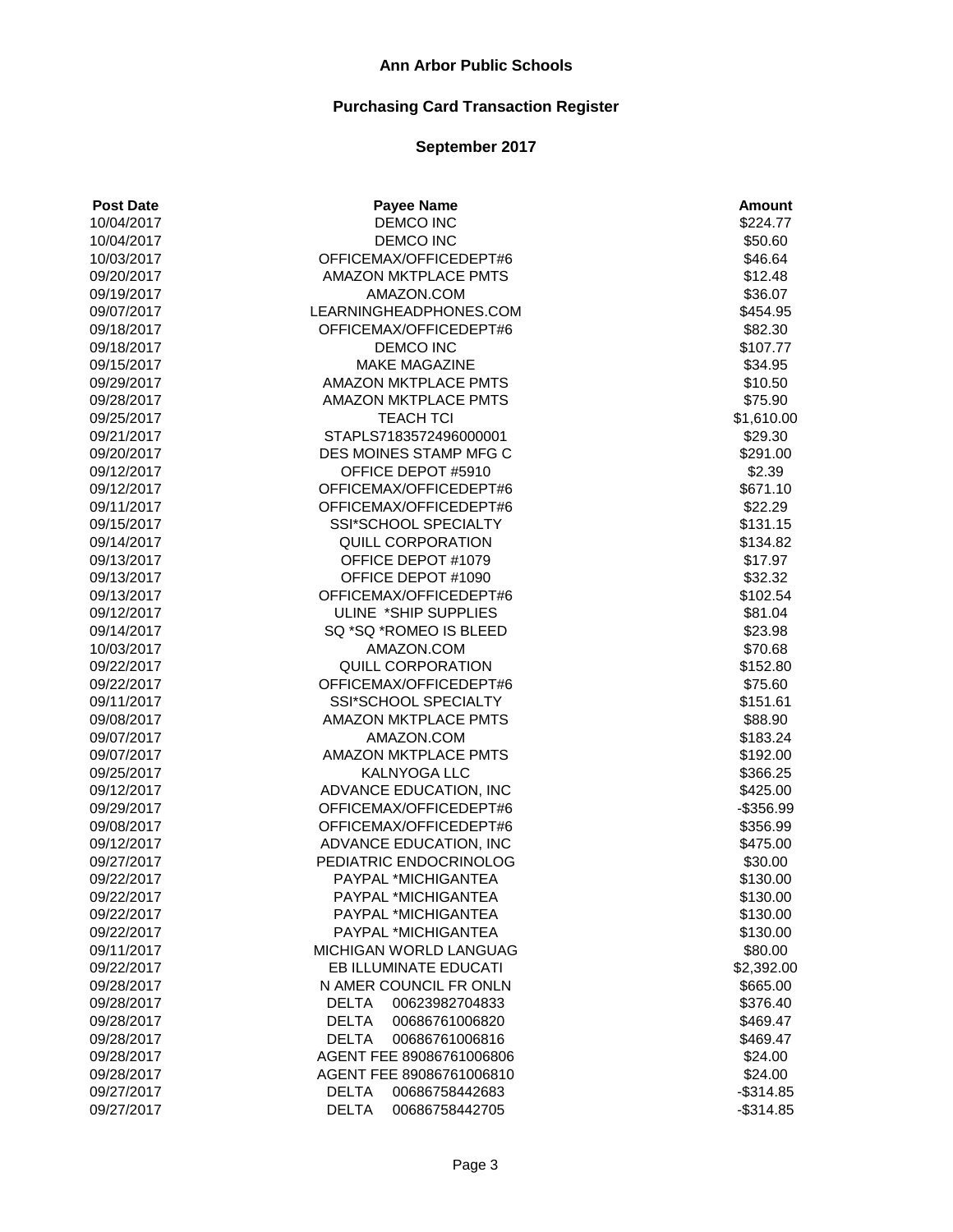| <b>Post Date</b> | <b>Payee Name</b>              | <b>Amount</b> |
|------------------|--------------------------------|---------------|
| 10/04/2017       | DEMCO INC                      | \$224.77      |
| 10/04/2017       | <b>DEMCO INC</b>               | \$50.60       |
| 10/03/2017       | OFFICEMAX/OFFICEDEPT#6         | \$46.64       |
| 09/20/2017       | <b>AMAZON MKTPLACE PMTS</b>    | \$12.48       |
| 09/19/2017       | AMAZON.COM                     | \$36.07       |
| 09/07/2017       | LEARNINGHEADPHONES.COM         | \$454.95      |
| 09/18/2017       | OFFICEMAX/OFFICEDEPT#6         | \$82.30       |
| 09/18/2017       | <b>DEMCO INC</b>               | \$107.77      |
| 09/15/2017       | <b>MAKE MAGAZINE</b>           | \$34.95       |
| 09/29/2017       | <b>AMAZON MKTPLACE PMTS</b>    | \$10.50       |
| 09/28/2017       | <b>AMAZON MKTPLACE PMTS</b>    | \$75.90       |
| 09/25/2017       | <b>TEACH TCI</b>               | \$1,610.00    |
| 09/21/2017       | STAPLS7183572496000001         | \$29.30       |
| 09/20/2017       | DES MOINES STAMP MFG C         | \$291.00      |
| 09/12/2017       | OFFICE DEPOT #5910             | \$2.39        |
| 09/12/2017       | OFFICEMAX/OFFICEDEPT#6         | \$671.10      |
| 09/11/2017       | OFFICEMAX/OFFICEDEPT#6         | \$22.29       |
| 09/15/2017       | <b>SSI*SCHOOL SPECIALTY</b>    | \$131.15      |
| 09/14/2017       | <b>QUILL CORPORATION</b>       | \$134.82      |
| 09/13/2017       | OFFICE DEPOT #1079             | \$17.97       |
| 09/13/2017       | OFFICE DEPOT #1090             | \$32.32       |
| 09/13/2017       | OFFICEMAX/OFFICEDEPT#6         | \$102.54      |
| 09/12/2017       | ULINE *SHIP SUPPLIES           | \$81.04       |
| 09/14/2017       | SQ *SQ *ROMEO IS BLEED         | \$23.98       |
| 10/03/2017       | AMAZON.COM                     | \$70.68       |
| 09/22/2017       | QUILL CORPORATION              | \$152.80      |
| 09/22/2017       | OFFICEMAX/OFFICEDEPT#6         | \$75.60       |
| 09/11/2017       | SSI*SCHOOL SPECIALTY           | \$151.61      |
| 09/08/2017       | AMAZON MKTPLACE PMTS           | \$88.90       |
| 09/07/2017       | AMAZON.COM                     | \$183.24      |
| 09/07/2017       | <b>AMAZON MKTPLACE PMTS</b>    | \$192.00      |
| 09/25/2017       | <b>KALNYOGA LLC</b>            | \$366.25      |
| 09/12/2017       | ADVANCE EDUCATION, INC         | \$425.00      |
| 09/29/2017       | OFFICEMAX/OFFICEDEPT#6         | $-$356.99$    |
| 09/08/2017       | OFFICEMAX/OFFICEDEPT#6         | \$356.99      |
| 09/12/2017       | ADVANCE EDUCATION, INC         | \$475.00      |
| 09/27/2017       | PEDIATRIC ENDOCRINOLOG         | \$30.00       |
| 09/22/2017       | PAYPAL *MICHIGANTEA            | \$130.00      |
| 09/22/2017       | PAYPAL *MICHIGANTEA            | \$130.00      |
| 09/22/2017       | PAYPAL *MICHIGANTEA            | \$130.00      |
| 09/22/2017       | PAYPAL *MICHIGANTEA            | \$130.00      |
| 09/11/2017       | MICHIGAN WORLD LANGUAG         | \$80.00       |
| 09/22/2017       | EB ILLUMINATE EDUCATI          | \$2,392.00    |
| 09/28/2017       | N AMER COUNCIL FR ONLN         | \$665.00      |
| 09/28/2017       | <b>DELTA</b><br>00623982704833 | \$376.40      |
| 09/28/2017       | <b>DELTA</b><br>00686761006820 | \$469.47      |
| 09/28/2017       | <b>DELTA</b><br>00686761006816 | \$469.47      |
| 09/28/2017       | AGENT FEE 89086761006806       | \$24.00       |
| 09/28/2017       | AGENT FEE 89086761006810       | \$24.00       |
| 09/27/2017       | <b>DELTA</b><br>00686758442683 | $-$ \$314.85  |
| 09/27/2017       | <b>DELTA</b><br>00686758442705 | $-$ \$314.85  |
|                  |                                |               |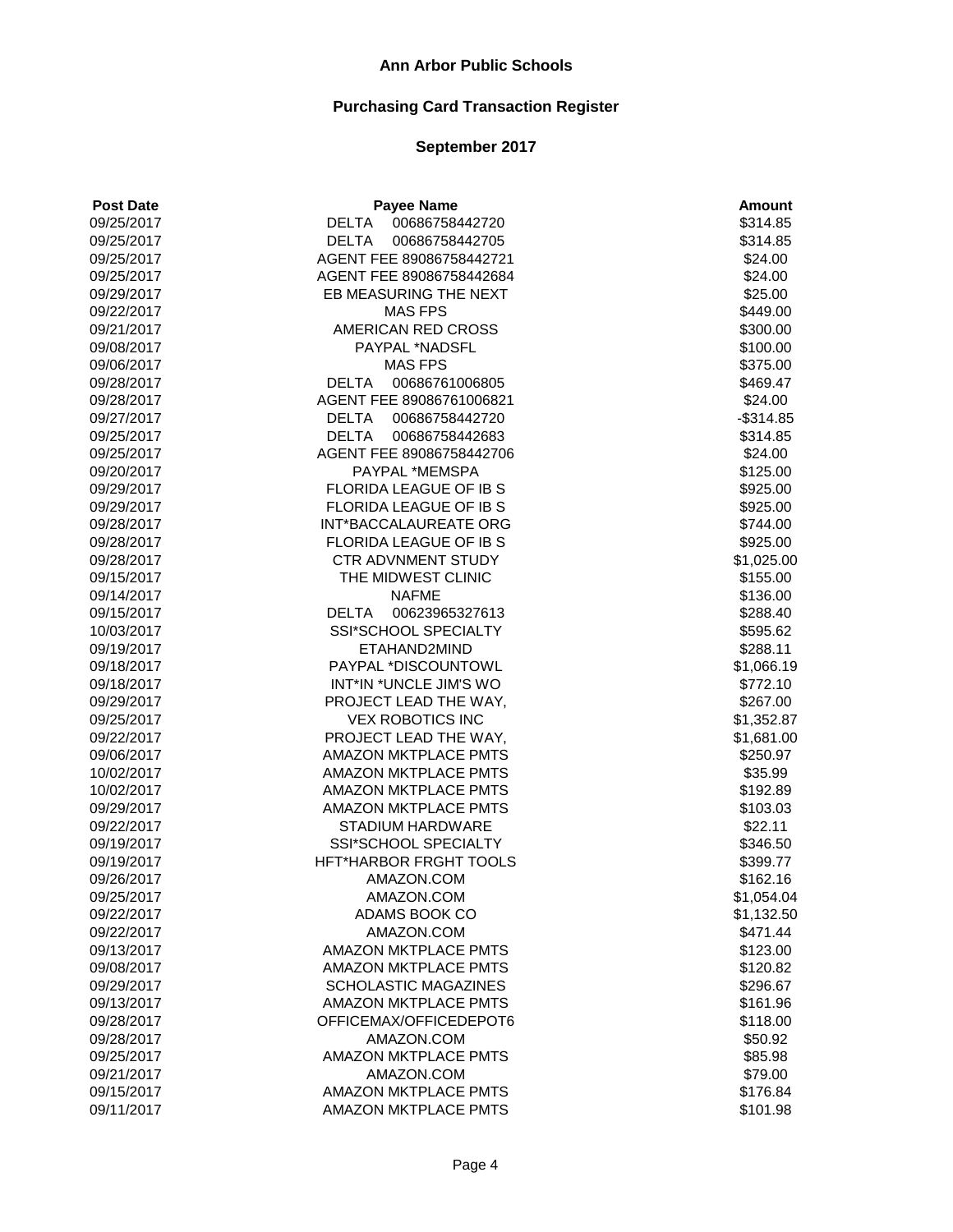| <b>Post Date</b> | <b>Payee Name</b>              | <b>Amount</b> |
|------------------|--------------------------------|---------------|
| 09/25/2017       | 00686758442720<br>DELTA        | \$314.85      |
| 09/25/2017       | DELTA<br>00686758442705        | \$314.85      |
| 09/25/2017       | AGENT FEE 89086758442721       | \$24.00       |
| 09/25/2017       | AGENT FEE 89086758442684       | \$24.00       |
| 09/29/2017       | EB MEASURING THE NEXT          | \$25.00       |
| 09/22/2017       | <b>MAS FPS</b>                 | \$449.00      |
| 09/21/2017       | AMERICAN RED CROSS             | \$300.00      |
| 09/08/2017       | PAYPAL *NADSFL                 | \$100.00      |
| 09/06/2017       | <b>MAS FPS</b>                 | \$375.00      |
| 09/28/2017       | <b>DELTA</b><br>00686761006805 | \$469.47      |
| 09/28/2017       | AGENT FEE 89086761006821       | \$24.00       |
| 09/27/2017       | DELTA 00686758442720           | $-$314.85$    |
| 09/25/2017       | DELTA<br>00686758442683        | \$314.85      |
| 09/25/2017       | AGENT FEE 89086758442706       | \$24.00       |
| 09/20/2017       | PAYPAL *MEMSPA                 | \$125.00      |
| 09/29/2017       | FLORIDA LEAGUE OF IB S         | \$925.00      |
| 09/29/2017       | <b>FLORIDA LEAGUE OF IB S</b>  | \$925.00      |
| 09/28/2017       | INT*BACCALAUREATE ORG          | \$744.00      |
| 09/28/2017       | FLORIDA LEAGUE OF IB S         | \$925.00      |
| 09/28/2017       | <b>CTR ADVNMENT STUDY</b>      | \$1,025.00    |
| 09/15/2017       | THE MIDWEST CLINIC             | \$155.00      |
| 09/14/2017       | <b>NAFME</b>                   | \$136.00      |
| 09/15/2017       | DELTA 00623965327613           | \$288.40      |
| 10/03/2017       | SSI*SCHOOL SPECIALTY           | \$595.62      |
| 09/19/2017       | ETAHAND2MIND                   | \$288.11      |
| 09/18/2017       | PAYPAL *DISCOUNTOWL            | \$1,066.19    |
| 09/18/2017       | INT*IN *UNCLE JIM'S WO         | \$772.10      |
| 09/29/2017       | PROJECT LEAD THE WAY,          | \$267.00      |
| 09/25/2017       | <b>VEX ROBOTICS INC</b>        | \$1,352.87    |
| 09/22/2017       | PROJECT LEAD THE WAY,          | \$1,681.00    |
| 09/06/2017       | <b>AMAZON MKTPLACE PMTS</b>    | \$250.97      |
| 10/02/2017       | <b>AMAZON MKTPLACE PMTS</b>    | \$35.99       |
| 10/02/2017       | AMAZON MKTPLACE PMTS           | \$192.89      |
| 09/29/2017       | <b>AMAZON MKTPLACE PMTS</b>    | \$103.03      |
| 09/22/2017       | <b>STADIUM HARDWARE</b>        | \$22.11       |
| 09/19/2017       | SSI*SCHOOL SPECIALTY           | \$346.50      |
| 09/19/2017       | HFT*HARBOR FRGHT TOOLS         | \$399.77      |
| 09/26/2017       | AMAZON.COM                     | \$162.16      |
| 09/25/2017       | AMAZON.COM                     | \$1,054.04    |
| 09/22/2017       | ADAMS BOOK CO                  | \$1,132.50    |
| 09/22/2017       | AMAZON.COM                     | \$471.44      |
| 09/13/2017       | AMAZON MKTPLACE PMTS           | \$123.00      |
| 09/08/2017       | <b>AMAZON MKTPLACE PMTS</b>    | \$120.82      |
| 09/29/2017       | <b>SCHOLASTIC MAGAZINES</b>    | \$296.67      |
| 09/13/2017       | <b>AMAZON MKTPLACE PMTS</b>    | \$161.96      |
| 09/28/2017       | OFFICEMAX/OFFICEDEPOT6         | \$118.00      |
| 09/28/2017       | AMAZON.COM                     | \$50.92       |
| 09/25/2017       | <b>AMAZON MKTPLACE PMTS</b>    | \$85.98       |
| 09/21/2017       | AMAZON.COM                     | \$79.00       |
| 09/15/2017       | <b>AMAZON MKTPLACE PMTS</b>    | \$176.84      |
| 09/11/2017       | <b>AMAZON MKTPLACE PMTS</b>    | \$101.98      |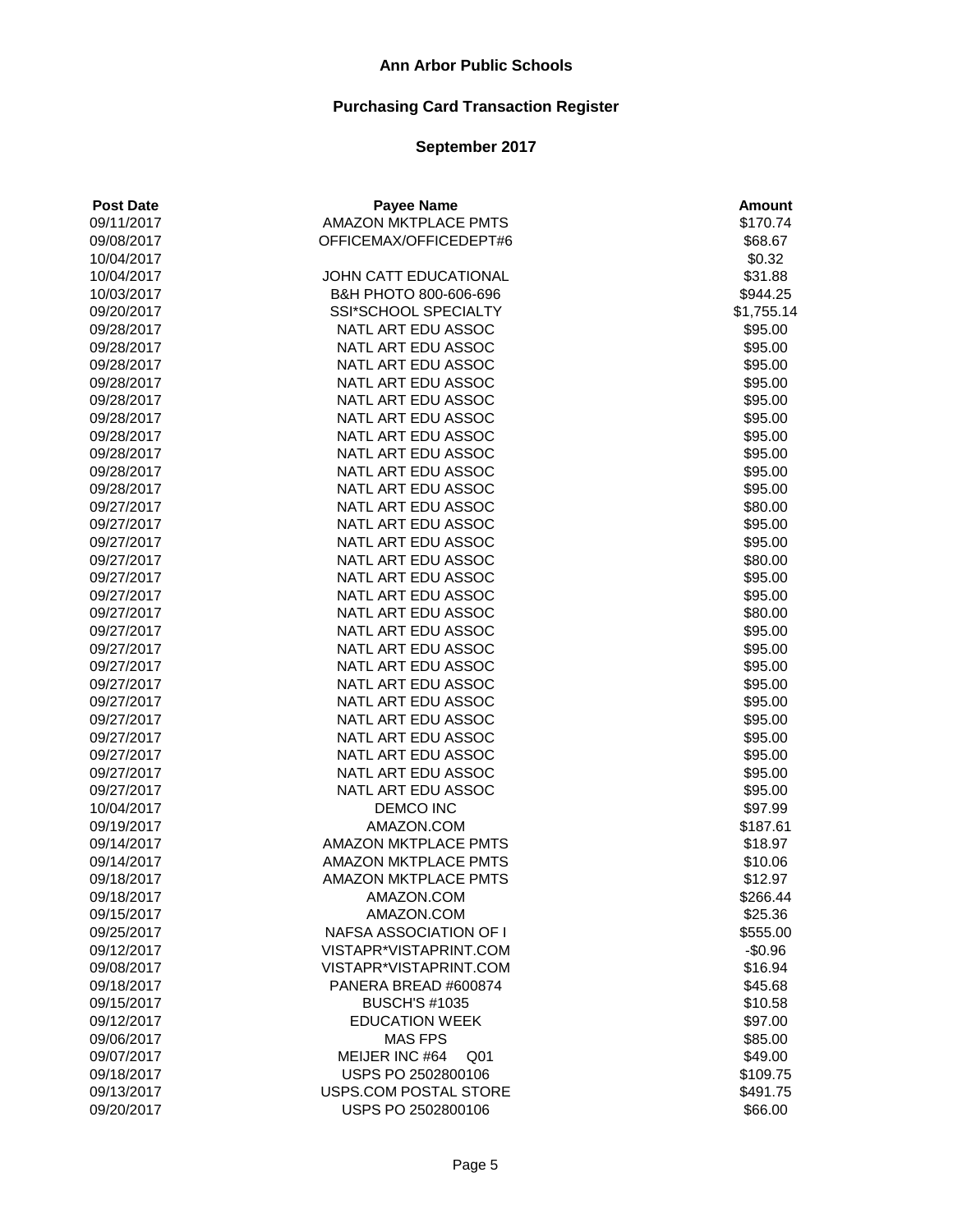| <b>Post Date</b> | <b>Payee Name</b>                 | <b>Amount</b>      |
|------------------|-----------------------------------|--------------------|
| 09/11/2017       | AMAZON MKTPLACE PMTS              | \$170.74           |
| 09/08/2017       | OFFICEMAX/OFFICEDEPT#6            | \$68.67            |
| 10/04/2017       |                                   | \$0.32             |
| 10/04/2017       | JOHN CATT EDUCATIONAL             | \$31.88            |
| 10/03/2017       | B&H PHOTO 800-606-696             | \$944.25           |
| 09/20/2017       | SSI*SCHOOL SPECIALTY              | \$1,755.14         |
| 09/28/2017       | NATL ART EDU ASSOC                | \$95.00            |
| 09/28/2017       | NATL ART EDU ASSOC                | \$95.00            |
| 09/28/2017       | NATL ART EDU ASSOC                | \$95.00            |
| 09/28/2017       | NATL ART EDU ASSOC                | \$95.00            |
| 09/28/2017       | NATL ART EDU ASSOC                | \$95.00            |
| 09/28/2017       | NATL ART EDU ASSOC                | \$95.00            |
| 09/28/2017       | NATL ART EDU ASSOC                | \$95.00            |
| 09/28/2017       | NATL ART EDU ASSOC                | \$95.00            |
| 09/28/2017       | NATL ART EDU ASSOC                | \$95.00            |
| 09/28/2017       | NATL ART EDU ASSOC                | \$95.00            |
| 09/27/2017       | NATL ART EDU ASSOC                | \$80.00            |
| 09/27/2017       | NATL ART EDU ASSOC                | \$95.00            |
| 09/27/2017       | NATL ART EDU ASSOC                | \$95.00            |
| 09/27/2017       | NATL ART EDU ASSOC                | \$80.00            |
| 09/27/2017       | NATL ART EDU ASSOC                | \$95.00            |
| 09/27/2017       | NATL ART EDU ASSOC                | \$95.00            |
| 09/27/2017       | NATL ART EDU ASSOC                | \$80.00            |
| 09/27/2017       | NATL ART EDU ASSOC                | \$95.00            |
| 09/27/2017       | NATL ART EDU ASSOC                | \$95.00            |
| 09/27/2017       | NATL ART EDU ASSOC                | \$95.00            |
| 09/27/2017       | NATL ART EDU ASSOC                | \$95.00            |
| 09/27/2017       | NATL ART EDU ASSOC                | \$95.00            |
| 09/27/2017       | NATL ART EDU ASSOC                | \$95.00            |
| 09/27/2017       | NATL ART EDU ASSOC                | \$95.00            |
| 09/27/2017       | NATL ART EDU ASSOC                | \$95.00            |
| 09/27/2017       | NATL ART EDU ASSOC                | \$95.00            |
| 09/27/2017       | NATL ART EDU ASSOC                | \$95.00            |
| 10/04/2017       | <b>DEMCO INC</b>                  | \$97.99            |
| 09/19/2017       | AMAZON.COM                        | \$187.61           |
| 09/14/2017       | <b>AMAZON MKTPLACE PMTS</b>       | \$18.97            |
| 09/14/2017       | <b>AMAZON MKTPLACE PMTS</b>       | \$10.06            |
| 09/18/2017       | <b>AMAZON MKTPLACE PMTS</b>       | \$12.97            |
| 09/18/2017       | AMAZON.COM                        | \$266.44           |
| 09/15/2017       | AMAZON.COM                        | \$25.36            |
| 09/25/2017       | NAFSA ASSOCIATION OF I            | \$555.00           |
|                  | VISTAPR*VISTAPRINT.COM            | $-$0.96$           |
| 09/12/2017       | VISTAPR*VISTAPRINT.COM            | \$16.94            |
| 09/08/2017       |                                   |                    |
| 09/18/2017       | PANERA BREAD #600874              | \$45.68<br>\$10.58 |
| 09/15/2017       | <b>BUSCH'S #1035</b>              |                    |
| 09/12/2017       | <b>EDUCATION WEEK</b>             | \$97.00            |
| 09/06/2017       | <b>MAS FPS</b>                    | \$85.00            |
| 09/07/2017       | MEIJER INC #64<br>Q <sub>01</sub> | \$49.00            |
| 09/18/2017       | USPS PO 2502800106                | \$109.75           |
| 09/13/2017       | USPS.COM POSTAL STORE             | \$491.75           |
| 09/20/2017       | USPS PO 2502800106                | \$66.00            |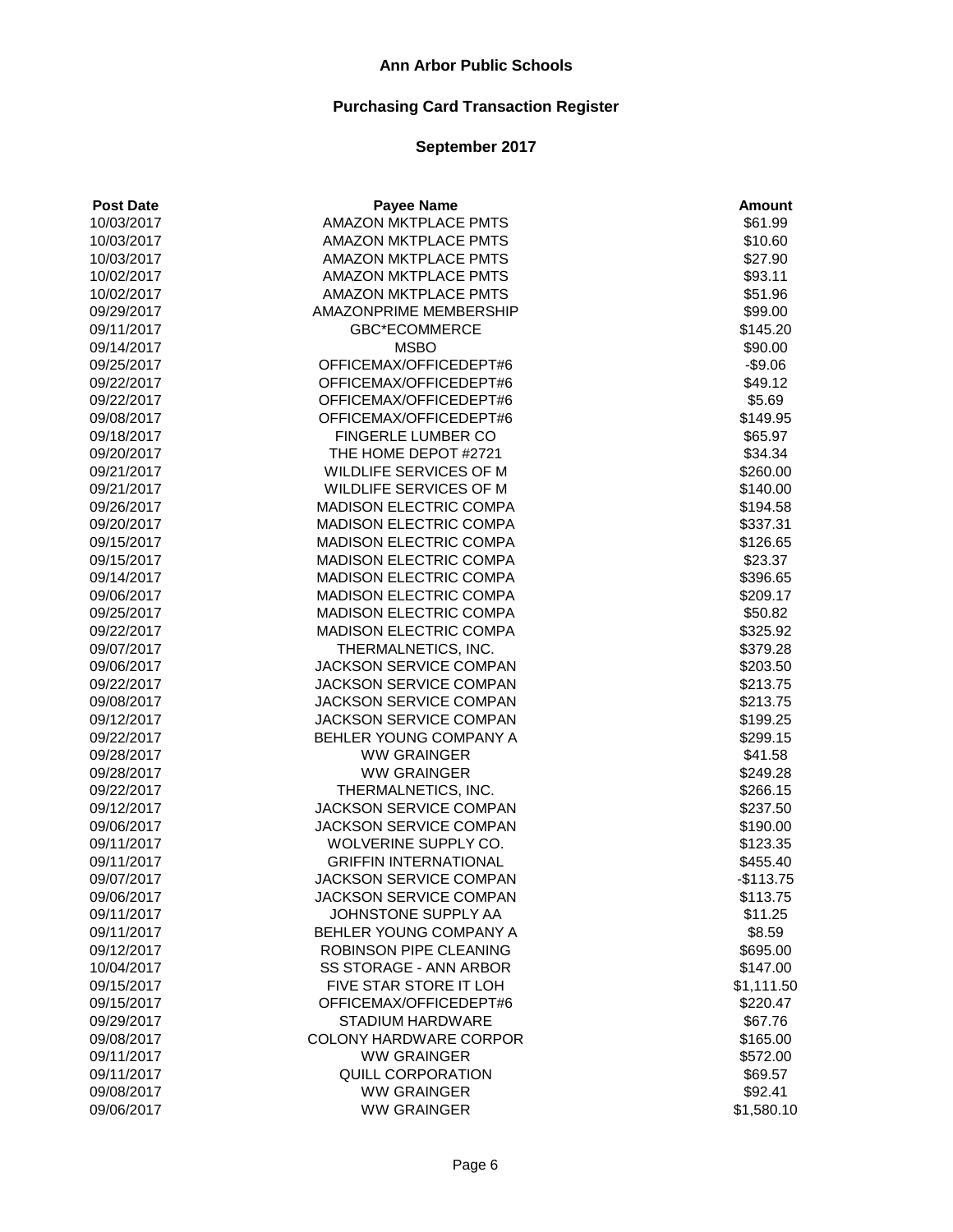| <b>Post Date</b> | <b>Payee Name</b>             | <b>Amount</b> |
|------------------|-------------------------------|---------------|
| 10/03/2017       | <b>AMAZON MKTPLACE PMTS</b>   | \$61.99       |
| 10/03/2017       | AMAZON MKTPLACE PMTS          | \$10.60       |
| 10/03/2017       | <b>AMAZON MKTPLACE PMTS</b>   | \$27.90       |
| 10/02/2017       | <b>AMAZON MKTPLACE PMTS</b>   | \$93.11       |
| 10/02/2017       | <b>AMAZON MKTPLACE PMTS</b>   | \$51.96       |
| 09/29/2017       | AMAZONPRIME MEMBERSHIP        | \$99.00       |
| 09/11/2017       | <b>GBC*ECOMMERCE</b>          | \$145.20      |
| 09/14/2017       | <b>MSBO</b>                   | \$90.00       |
| 09/25/2017       | OFFICEMAX/OFFICEDEPT#6        | $-$9.06$      |
| 09/22/2017       | OFFICEMAX/OFFICEDEPT#6        | \$49.12       |
| 09/22/2017       | OFFICEMAX/OFFICEDEPT#6        | \$5.69        |
| 09/08/2017       | OFFICEMAX/OFFICEDEPT#6        | \$149.95      |
| 09/18/2017       | FINGERLE LUMBER CO            | \$65.97       |
| 09/20/2017       | THE HOME DEPOT #2721          | \$34.34       |
| 09/21/2017       | WILDLIFE SERVICES OF M        | \$260.00      |
| 09/21/2017       | WILDLIFE SERVICES OF M        | \$140.00      |
| 09/26/2017       | MADISON ELECTRIC COMPA        | \$194.58      |
| 09/20/2017       | <b>MADISON ELECTRIC COMPA</b> | \$337.31      |
| 09/15/2017       | MADISON ELECTRIC COMPA        | \$126.65      |
| 09/15/2017       | MADISON ELECTRIC COMPA        | \$23.37       |
| 09/14/2017       | MADISON ELECTRIC COMPA        | \$396.65      |
| 09/06/2017       | MADISON ELECTRIC COMPA        | \$209.17      |
| 09/25/2017       | <b>MADISON ELECTRIC COMPA</b> | \$50.82       |
| 09/22/2017       | MADISON ELECTRIC COMPA        | \$325.92      |
| 09/07/2017       | THERMALNETICS, INC.           | \$379.28      |
| 09/06/2017       | JACKSON SERVICE COMPAN        | \$203.50      |
| 09/22/2017       | JACKSON SERVICE COMPAN        | \$213.75      |
| 09/08/2017       | JACKSON SERVICE COMPAN        | \$213.75      |
| 09/12/2017       | JACKSON SERVICE COMPAN        | \$199.25      |
| 09/22/2017       | BEHLER YOUNG COMPANY A        | \$299.15      |
| 09/28/2017       | <b>WW GRAINGER</b>            | \$41.58       |
| 09/28/2017       | <b>WW GRAINGER</b>            | \$249.28      |
| 09/22/2017       | THERMALNETICS, INC.           | \$266.15      |
| 09/12/2017       | JACKSON SERVICE COMPAN        | \$237.50      |
| 09/06/2017       | JACKSON SERVICE COMPAN        | \$190.00      |
| 09/11/2017       | WOLVERINE SUPPLY CO.          | \$123.35      |
| 09/11/2017       | <b>GRIFFIN INTERNATIONAL</b>  | \$455.40      |
| 09/07/2017       | JACKSON SERVICE COMPAN        | $-$113.75$    |
| 09/06/2017       | JACKSON SERVICE COMPAN        | \$113.75      |
| 09/11/2017       | JOHNSTONE SUPPLY AA           | \$11.25       |
| 09/11/2017       | BEHLER YOUNG COMPANY A        | \$8.59        |
|                  | ROBINSON PIPE CLEANING        | \$695.00      |
| 09/12/2017       | SS STORAGE - ANN ARBOR        | \$147.00      |
| 10/04/2017       | FIVE STAR STORE IT LOH        |               |
| 09/15/2017       | OFFICEMAX/OFFICEDEPT#6        | \$1,111.50    |
| 09/15/2017       | <b>STADIUM HARDWARE</b>       | \$220.47      |
| 09/29/2017       |                               | \$67.76       |
| 09/08/2017       | COLONY HARDWARE CORPOR        | \$165.00      |
| 09/11/2017       | <b>WW GRAINGER</b>            | \$572.00      |
| 09/11/2017       | QUILL CORPORATION             | \$69.57       |
| 09/08/2017       | <b>WW GRAINGER</b>            | \$92.41       |
| 09/06/2017       | <b>WW GRAINGER</b>            | \$1,580.10    |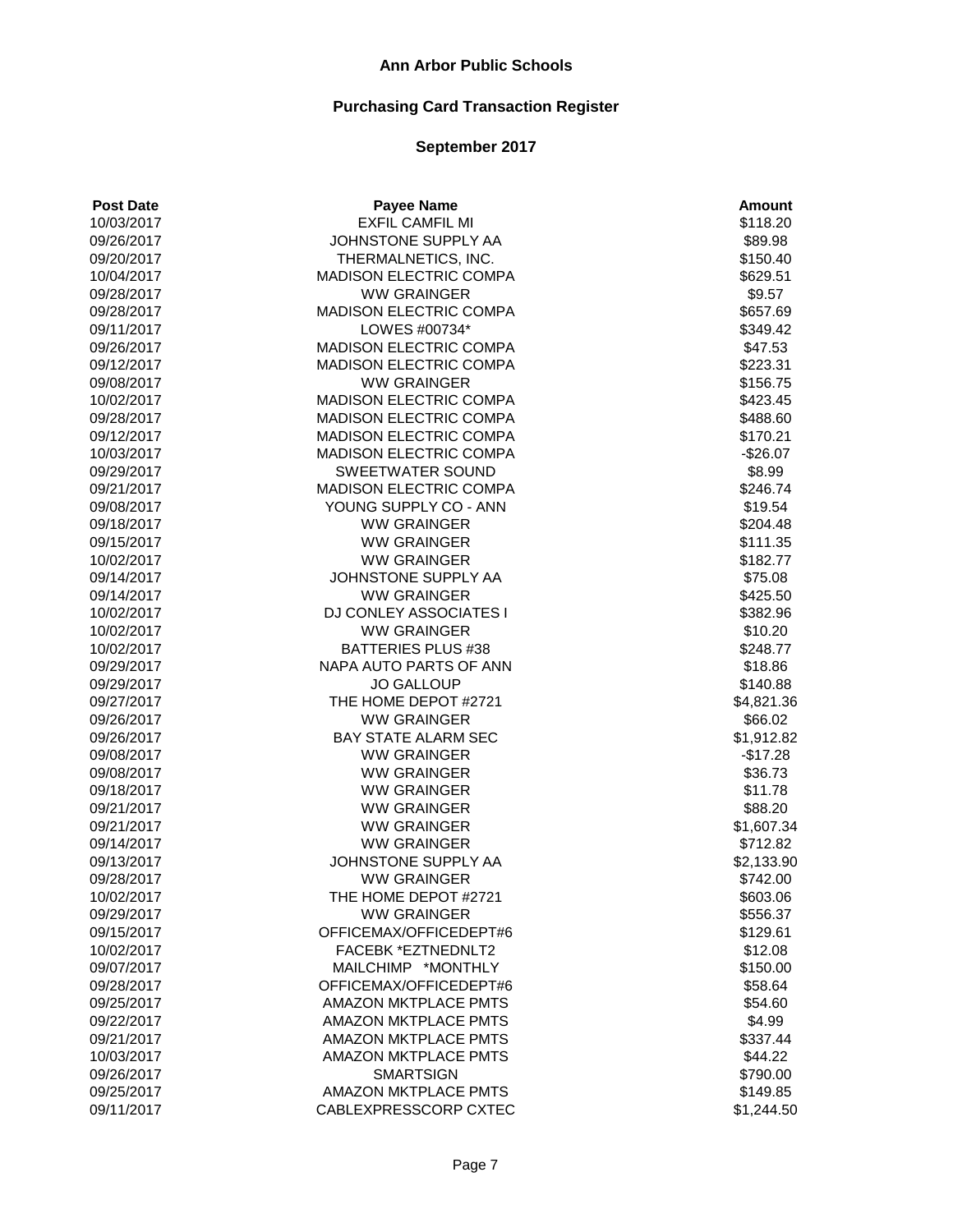# **Purchasing Card Transaction Register**

| <b>EXFIL CAMFIL MI</b><br>10/03/2017<br>\$118.20<br>JOHNSTONE SUPPLY AA<br>09/26/2017<br>\$89.98<br>THERMALNETICS, INC.<br>\$150.40<br>09/20/2017<br>MADISON ELECTRIC COMPA<br>\$629.51<br>10/04/2017<br><b>WW GRAINGER</b><br>\$9.57<br>09/28/2017<br>MADISON ELECTRIC COMPA<br>\$657.69<br>09/28/2017<br>LOWES #00734*<br>09/11/2017<br>\$349.42<br>MADISON ELECTRIC COMPA<br>09/26/2017<br>\$47.53<br>MADISON ELECTRIC COMPA<br>\$223.31<br>09/12/2017<br>09/08/2017<br><b>WW GRAINGER</b><br>\$156.75<br>MADISON ELECTRIC COMPA<br>\$423.45<br>10/02/2017<br>MADISON ELECTRIC COMPA<br>\$488.60<br>09/28/2017<br>MADISON ELECTRIC COMPA<br>09/12/2017<br>\$170.21<br>MADISON ELECTRIC COMPA<br>$-$26.07$<br>10/03/2017<br>\$8.99<br>09/29/2017<br>SWEETWATER SOUND<br>MADISON ELECTRIC COMPA<br>09/21/2017<br>\$246.74<br>YOUNG SUPPLY CO - ANN<br>\$19.54<br>09/08/2017<br>09/18/2017<br><b>WW GRAINGER</b><br>\$204.48<br><b>WW GRAINGER</b><br>\$111.35<br>09/15/2017<br>\$182.77<br>10/02/2017<br><b>WW GRAINGER</b><br>\$75.08<br>JOHNSTONE SUPPLY AA<br>09/14/2017<br><b>WW GRAINGER</b><br>\$425.50<br>09/14/2017<br>10/02/2017<br>DJ CONLEY ASSOCIATES I<br>\$382.96<br><b>WW GRAINGER</b><br>\$10.20<br>10/02/2017<br>10/02/2017<br>BATTERIES PLUS #38<br>\$248.77<br>NAPA AUTO PARTS OF ANN<br>09/29/2017<br>\$18.86<br>09/29/2017<br><b>JO GALLOUP</b><br>\$140.88<br>THE HOME DEPOT #2721<br>09/27/2017<br>\$4,821.36<br>09/26/2017<br><b>WW GRAINGER</b><br>\$66.02<br>09/26/2017<br><b>BAY STATE ALARM SEC</b><br>\$1,912.82<br>$-$17.28$<br>09/08/2017<br><b>WW GRAINGER</b><br><b>WW GRAINGER</b><br>09/08/2017<br>\$36.73<br><b>WW GRAINGER</b><br>\$11.78<br>09/18/2017<br><b>WW GRAINGER</b><br>09/21/2017<br>\$88.20<br>09/21/2017<br><b>WW GRAINGER</b><br>\$1,607.34<br>09/14/2017<br><b>WW GRAINGER</b><br>\$712.82<br>JOHNSTONE SUPPLY AA<br>09/13/2017<br>\$2,133.90<br>09/28/2017<br><b>WW GRAINGER</b><br>\$742.00<br>10/02/2017<br>THE HOME DEPOT #2721<br>\$603.06<br>09/29/2017<br><b>WW GRAINGER</b><br>\$556.37<br>09/15/2017<br>OFFICEMAX/OFFICEDEPT#6<br>\$129.61<br>\$12.08<br>10/02/2017<br><b>FACEBK *EZTNEDNLT2</b><br>MAILCHIMP *MONTHLY<br>\$150.00<br>09/07/2017<br>09/28/2017<br>OFFICEMAX/OFFICEDEPT#6<br>\$58.64<br><b>AMAZON MKTPLACE PMTS</b><br>09/25/2017<br>\$54.60<br>09/22/2017<br><b>AMAZON MKTPLACE PMTS</b><br>\$4.99<br><b>AMAZON MKTPLACE PMTS</b><br>\$337.44<br>09/21/2017<br>10/03/2017<br><b>AMAZON MKTPLACE PMTS</b><br>\$44.22<br>09/26/2017<br><b>SMARTSIGN</b><br>\$790.00<br>09/25/2017<br><b>AMAZON MKTPLACE PMTS</b><br>\$149.85<br>09/11/2017<br>CABLEXPRESSCORP CXTEC<br>\$1,244.50 | <b>Post Date</b> | <b>Payee Name</b> | <b>Amount</b> |
|--------------------------------------------------------------------------------------------------------------------------------------------------------------------------------------------------------------------------------------------------------------------------------------------------------------------------------------------------------------------------------------------------------------------------------------------------------------------------------------------------------------------------------------------------------------------------------------------------------------------------------------------------------------------------------------------------------------------------------------------------------------------------------------------------------------------------------------------------------------------------------------------------------------------------------------------------------------------------------------------------------------------------------------------------------------------------------------------------------------------------------------------------------------------------------------------------------------------------------------------------------------------------------------------------------------------------------------------------------------------------------------------------------------------------------------------------------------------------------------------------------------------------------------------------------------------------------------------------------------------------------------------------------------------------------------------------------------------------------------------------------------------------------------------------------------------------------------------------------------------------------------------------------------------------------------------------------------------------------------------------------------------------------------------------------------------------------------------------------------------------------------------------------------------------------------------------------------------------------------------------------------------------------------------------------------------------------------------------------------------------------------------------------------------------------------------------------------------------------------------------------------------------------------------------------------------------------------------------------------------------------------------------------------|------------------|-------------------|---------------|
|                                                                                                                                                                                                                                                                                                                                                                                                                                                                                                                                                                                                                                                                                                                                                                                                                                                                                                                                                                                                                                                                                                                                                                                                                                                                                                                                                                                                                                                                                                                                                                                                                                                                                                                                                                                                                                                                                                                                                                                                                                                                                                                                                                                                                                                                                                                                                                                                                                                                                                                                                                                                                                                              |                  |                   |               |
|                                                                                                                                                                                                                                                                                                                                                                                                                                                                                                                                                                                                                                                                                                                                                                                                                                                                                                                                                                                                                                                                                                                                                                                                                                                                                                                                                                                                                                                                                                                                                                                                                                                                                                                                                                                                                                                                                                                                                                                                                                                                                                                                                                                                                                                                                                                                                                                                                                                                                                                                                                                                                                                              |                  |                   |               |
|                                                                                                                                                                                                                                                                                                                                                                                                                                                                                                                                                                                                                                                                                                                                                                                                                                                                                                                                                                                                                                                                                                                                                                                                                                                                                                                                                                                                                                                                                                                                                                                                                                                                                                                                                                                                                                                                                                                                                                                                                                                                                                                                                                                                                                                                                                                                                                                                                                                                                                                                                                                                                                                              |                  |                   |               |
|                                                                                                                                                                                                                                                                                                                                                                                                                                                                                                                                                                                                                                                                                                                                                                                                                                                                                                                                                                                                                                                                                                                                                                                                                                                                                                                                                                                                                                                                                                                                                                                                                                                                                                                                                                                                                                                                                                                                                                                                                                                                                                                                                                                                                                                                                                                                                                                                                                                                                                                                                                                                                                                              |                  |                   |               |
|                                                                                                                                                                                                                                                                                                                                                                                                                                                                                                                                                                                                                                                                                                                                                                                                                                                                                                                                                                                                                                                                                                                                                                                                                                                                                                                                                                                                                                                                                                                                                                                                                                                                                                                                                                                                                                                                                                                                                                                                                                                                                                                                                                                                                                                                                                                                                                                                                                                                                                                                                                                                                                                              |                  |                   |               |
|                                                                                                                                                                                                                                                                                                                                                                                                                                                                                                                                                                                                                                                                                                                                                                                                                                                                                                                                                                                                                                                                                                                                                                                                                                                                                                                                                                                                                                                                                                                                                                                                                                                                                                                                                                                                                                                                                                                                                                                                                                                                                                                                                                                                                                                                                                                                                                                                                                                                                                                                                                                                                                                              |                  |                   |               |
|                                                                                                                                                                                                                                                                                                                                                                                                                                                                                                                                                                                                                                                                                                                                                                                                                                                                                                                                                                                                                                                                                                                                                                                                                                                                                                                                                                                                                                                                                                                                                                                                                                                                                                                                                                                                                                                                                                                                                                                                                                                                                                                                                                                                                                                                                                                                                                                                                                                                                                                                                                                                                                                              |                  |                   |               |
|                                                                                                                                                                                                                                                                                                                                                                                                                                                                                                                                                                                                                                                                                                                                                                                                                                                                                                                                                                                                                                                                                                                                                                                                                                                                                                                                                                                                                                                                                                                                                                                                                                                                                                                                                                                                                                                                                                                                                                                                                                                                                                                                                                                                                                                                                                                                                                                                                                                                                                                                                                                                                                                              |                  |                   |               |
|                                                                                                                                                                                                                                                                                                                                                                                                                                                                                                                                                                                                                                                                                                                                                                                                                                                                                                                                                                                                                                                                                                                                                                                                                                                                                                                                                                                                                                                                                                                                                                                                                                                                                                                                                                                                                                                                                                                                                                                                                                                                                                                                                                                                                                                                                                                                                                                                                                                                                                                                                                                                                                                              |                  |                   |               |
|                                                                                                                                                                                                                                                                                                                                                                                                                                                                                                                                                                                                                                                                                                                                                                                                                                                                                                                                                                                                                                                                                                                                                                                                                                                                                                                                                                                                                                                                                                                                                                                                                                                                                                                                                                                                                                                                                                                                                                                                                                                                                                                                                                                                                                                                                                                                                                                                                                                                                                                                                                                                                                                              |                  |                   |               |
|                                                                                                                                                                                                                                                                                                                                                                                                                                                                                                                                                                                                                                                                                                                                                                                                                                                                                                                                                                                                                                                                                                                                                                                                                                                                                                                                                                                                                                                                                                                                                                                                                                                                                                                                                                                                                                                                                                                                                                                                                                                                                                                                                                                                                                                                                                                                                                                                                                                                                                                                                                                                                                                              |                  |                   |               |
|                                                                                                                                                                                                                                                                                                                                                                                                                                                                                                                                                                                                                                                                                                                                                                                                                                                                                                                                                                                                                                                                                                                                                                                                                                                                                                                                                                                                                                                                                                                                                                                                                                                                                                                                                                                                                                                                                                                                                                                                                                                                                                                                                                                                                                                                                                                                                                                                                                                                                                                                                                                                                                                              |                  |                   |               |
|                                                                                                                                                                                                                                                                                                                                                                                                                                                                                                                                                                                                                                                                                                                                                                                                                                                                                                                                                                                                                                                                                                                                                                                                                                                                                                                                                                                                                                                                                                                                                                                                                                                                                                                                                                                                                                                                                                                                                                                                                                                                                                                                                                                                                                                                                                                                                                                                                                                                                                                                                                                                                                                              |                  |                   |               |
|                                                                                                                                                                                                                                                                                                                                                                                                                                                                                                                                                                                                                                                                                                                                                                                                                                                                                                                                                                                                                                                                                                                                                                                                                                                                                                                                                                                                                                                                                                                                                                                                                                                                                                                                                                                                                                                                                                                                                                                                                                                                                                                                                                                                                                                                                                                                                                                                                                                                                                                                                                                                                                                              |                  |                   |               |
|                                                                                                                                                                                                                                                                                                                                                                                                                                                                                                                                                                                                                                                                                                                                                                                                                                                                                                                                                                                                                                                                                                                                                                                                                                                                                                                                                                                                                                                                                                                                                                                                                                                                                                                                                                                                                                                                                                                                                                                                                                                                                                                                                                                                                                                                                                                                                                                                                                                                                                                                                                                                                                                              |                  |                   |               |
|                                                                                                                                                                                                                                                                                                                                                                                                                                                                                                                                                                                                                                                                                                                                                                                                                                                                                                                                                                                                                                                                                                                                                                                                                                                                                                                                                                                                                                                                                                                                                                                                                                                                                                                                                                                                                                                                                                                                                                                                                                                                                                                                                                                                                                                                                                                                                                                                                                                                                                                                                                                                                                                              |                  |                   |               |
|                                                                                                                                                                                                                                                                                                                                                                                                                                                                                                                                                                                                                                                                                                                                                                                                                                                                                                                                                                                                                                                                                                                                                                                                                                                                                                                                                                                                                                                                                                                                                                                                                                                                                                                                                                                                                                                                                                                                                                                                                                                                                                                                                                                                                                                                                                                                                                                                                                                                                                                                                                                                                                                              |                  |                   |               |
|                                                                                                                                                                                                                                                                                                                                                                                                                                                                                                                                                                                                                                                                                                                                                                                                                                                                                                                                                                                                                                                                                                                                                                                                                                                                                                                                                                                                                                                                                                                                                                                                                                                                                                                                                                                                                                                                                                                                                                                                                                                                                                                                                                                                                                                                                                                                                                                                                                                                                                                                                                                                                                                              |                  |                   |               |
|                                                                                                                                                                                                                                                                                                                                                                                                                                                                                                                                                                                                                                                                                                                                                                                                                                                                                                                                                                                                                                                                                                                                                                                                                                                                                                                                                                                                                                                                                                                                                                                                                                                                                                                                                                                                                                                                                                                                                                                                                                                                                                                                                                                                                                                                                                                                                                                                                                                                                                                                                                                                                                                              |                  |                   |               |
|                                                                                                                                                                                                                                                                                                                                                                                                                                                                                                                                                                                                                                                                                                                                                                                                                                                                                                                                                                                                                                                                                                                                                                                                                                                                                                                                                                                                                                                                                                                                                                                                                                                                                                                                                                                                                                                                                                                                                                                                                                                                                                                                                                                                                                                                                                                                                                                                                                                                                                                                                                                                                                                              |                  |                   |               |
|                                                                                                                                                                                                                                                                                                                                                                                                                                                                                                                                                                                                                                                                                                                                                                                                                                                                                                                                                                                                                                                                                                                                                                                                                                                                                                                                                                                                                                                                                                                                                                                                                                                                                                                                                                                                                                                                                                                                                                                                                                                                                                                                                                                                                                                                                                                                                                                                                                                                                                                                                                                                                                                              |                  |                   |               |
|                                                                                                                                                                                                                                                                                                                                                                                                                                                                                                                                                                                                                                                                                                                                                                                                                                                                                                                                                                                                                                                                                                                                                                                                                                                                                                                                                                                                                                                                                                                                                                                                                                                                                                                                                                                                                                                                                                                                                                                                                                                                                                                                                                                                                                                                                                                                                                                                                                                                                                                                                                                                                                                              |                  |                   |               |
|                                                                                                                                                                                                                                                                                                                                                                                                                                                                                                                                                                                                                                                                                                                                                                                                                                                                                                                                                                                                                                                                                                                                                                                                                                                                                                                                                                                                                                                                                                                                                                                                                                                                                                                                                                                                                                                                                                                                                                                                                                                                                                                                                                                                                                                                                                                                                                                                                                                                                                                                                                                                                                                              |                  |                   |               |
|                                                                                                                                                                                                                                                                                                                                                                                                                                                                                                                                                                                                                                                                                                                                                                                                                                                                                                                                                                                                                                                                                                                                                                                                                                                                                                                                                                                                                                                                                                                                                                                                                                                                                                                                                                                                                                                                                                                                                                                                                                                                                                                                                                                                                                                                                                                                                                                                                                                                                                                                                                                                                                                              |                  |                   |               |
|                                                                                                                                                                                                                                                                                                                                                                                                                                                                                                                                                                                                                                                                                                                                                                                                                                                                                                                                                                                                                                                                                                                                                                                                                                                                                                                                                                                                                                                                                                                                                                                                                                                                                                                                                                                                                                                                                                                                                                                                                                                                                                                                                                                                                                                                                                                                                                                                                                                                                                                                                                                                                                                              |                  |                   |               |
|                                                                                                                                                                                                                                                                                                                                                                                                                                                                                                                                                                                                                                                                                                                                                                                                                                                                                                                                                                                                                                                                                                                                                                                                                                                                                                                                                                                                                                                                                                                                                                                                                                                                                                                                                                                                                                                                                                                                                                                                                                                                                                                                                                                                                                                                                                                                                                                                                                                                                                                                                                                                                                                              |                  |                   |               |
|                                                                                                                                                                                                                                                                                                                                                                                                                                                                                                                                                                                                                                                                                                                                                                                                                                                                                                                                                                                                                                                                                                                                                                                                                                                                                                                                                                                                                                                                                                                                                                                                                                                                                                                                                                                                                                                                                                                                                                                                                                                                                                                                                                                                                                                                                                                                                                                                                                                                                                                                                                                                                                                              |                  |                   |               |
|                                                                                                                                                                                                                                                                                                                                                                                                                                                                                                                                                                                                                                                                                                                                                                                                                                                                                                                                                                                                                                                                                                                                                                                                                                                                                                                                                                                                                                                                                                                                                                                                                                                                                                                                                                                                                                                                                                                                                                                                                                                                                                                                                                                                                                                                                                                                                                                                                                                                                                                                                                                                                                                              |                  |                   |               |
|                                                                                                                                                                                                                                                                                                                                                                                                                                                                                                                                                                                                                                                                                                                                                                                                                                                                                                                                                                                                                                                                                                                                                                                                                                                                                                                                                                                                                                                                                                                                                                                                                                                                                                                                                                                                                                                                                                                                                                                                                                                                                                                                                                                                                                                                                                                                                                                                                                                                                                                                                                                                                                                              |                  |                   |               |
|                                                                                                                                                                                                                                                                                                                                                                                                                                                                                                                                                                                                                                                                                                                                                                                                                                                                                                                                                                                                                                                                                                                                                                                                                                                                                                                                                                                                                                                                                                                                                                                                                                                                                                                                                                                                                                                                                                                                                                                                                                                                                                                                                                                                                                                                                                                                                                                                                                                                                                                                                                                                                                                              |                  |                   |               |
|                                                                                                                                                                                                                                                                                                                                                                                                                                                                                                                                                                                                                                                                                                                                                                                                                                                                                                                                                                                                                                                                                                                                                                                                                                                                                                                                                                                                                                                                                                                                                                                                                                                                                                                                                                                                                                                                                                                                                                                                                                                                                                                                                                                                                                                                                                                                                                                                                                                                                                                                                                                                                                                              |                  |                   |               |
|                                                                                                                                                                                                                                                                                                                                                                                                                                                                                                                                                                                                                                                                                                                                                                                                                                                                                                                                                                                                                                                                                                                                                                                                                                                                                                                                                                                                                                                                                                                                                                                                                                                                                                                                                                                                                                                                                                                                                                                                                                                                                                                                                                                                                                                                                                                                                                                                                                                                                                                                                                                                                                                              |                  |                   |               |
|                                                                                                                                                                                                                                                                                                                                                                                                                                                                                                                                                                                                                                                                                                                                                                                                                                                                                                                                                                                                                                                                                                                                                                                                                                                                                                                                                                                                                                                                                                                                                                                                                                                                                                                                                                                                                                                                                                                                                                                                                                                                                                                                                                                                                                                                                                                                                                                                                                                                                                                                                                                                                                                              |                  |                   |               |
|                                                                                                                                                                                                                                                                                                                                                                                                                                                                                                                                                                                                                                                                                                                                                                                                                                                                                                                                                                                                                                                                                                                                                                                                                                                                                                                                                                                                                                                                                                                                                                                                                                                                                                                                                                                                                                                                                                                                                                                                                                                                                                                                                                                                                                                                                                                                                                                                                                                                                                                                                                                                                                                              |                  |                   |               |
|                                                                                                                                                                                                                                                                                                                                                                                                                                                                                                                                                                                                                                                                                                                                                                                                                                                                                                                                                                                                                                                                                                                                                                                                                                                                                                                                                                                                                                                                                                                                                                                                                                                                                                                                                                                                                                                                                                                                                                                                                                                                                                                                                                                                                                                                                                                                                                                                                                                                                                                                                                                                                                                              |                  |                   |               |
|                                                                                                                                                                                                                                                                                                                                                                                                                                                                                                                                                                                                                                                                                                                                                                                                                                                                                                                                                                                                                                                                                                                                                                                                                                                                                                                                                                                                                                                                                                                                                                                                                                                                                                                                                                                                                                                                                                                                                                                                                                                                                                                                                                                                                                                                                                                                                                                                                                                                                                                                                                                                                                                              |                  |                   |               |
|                                                                                                                                                                                                                                                                                                                                                                                                                                                                                                                                                                                                                                                                                                                                                                                                                                                                                                                                                                                                                                                                                                                                                                                                                                                                                                                                                                                                                                                                                                                                                                                                                                                                                                                                                                                                                                                                                                                                                                                                                                                                                                                                                                                                                                                                                                                                                                                                                                                                                                                                                                                                                                                              |                  |                   |               |
|                                                                                                                                                                                                                                                                                                                                                                                                                                                                                                                                                                                                                                                                                                                                                                                                                                                                                                                                                                                                                                                                                                                                                                                                                                                                                                                                                                                                                                                                                                                                                                                                                                                                                                                                                                                                                                                                                                                                                                                                                                                                                                                                                                                                                                                                                                                                                                                                                                                                                                                                                                                                                                                              |                  |                   |               |
|                                                                                                                                                                                                                                                                                                                                                                                                                                                                                                                                                                                                                                                                                                                                                                                                                                                                                                                                                                                                                                                                                                                                                                                                                                                                                                                                                                                                                                                                                                                                                                                                                                                                                                                                                                                                                                                                                                                                                                                                                                                                                                                                                                                                                                                                                                                                                                                                                                                                                                                                                                                                                                                              |                  |                   |               |
|                                                                                                                                                                                                                                                                                                                                                                                                                                                                                                                                                                                                                                                                                                                                                                                                                                                                                                                                                                                                                                                                                                                                                                                                                                                                                                                                                                                                                                                                                                                                                                                                                                                                                                                                                                                                                                                                                                                                                                                                                                                                                                                                                                                                                                                                                                                                                                                                                                                                                                                                                                                                                                                              |                  |                   |               |
|                                                                                                                                                                                                                                                                                                                                                                                                                                                                                                                                                                                                                                                                                                                                                                                                                                                                                                                                                                                                                                                                                                                                                                                                                                                                                                                                                                                                                                                                                                                                                                                                                                                                                                                                                                                                                                                                                                                                                                                                                                                                                                                                                                                                                                                                                                                                                                                                                                                                                                                                                                                                                                                              |                  |                   |               |
|                                                                                                                                                                                                                                                                                                                                                                                                                                                                                                                                                                                                                                                                                                                                                                                                                                                                                                                                                                                                                                                                                                                                                                                                                                                                                                                                                                                                                                                                                                                                                                                                                                                                                                                                                                                                                                                                                                                                                                                                                                                                                                                                                                                                                                                                                                                                                                                                                                                                                                                                                                                                                                                              |                  |                   |               |
|                                                                                                                                                                                                                                                                                                                                                                                                                                                                                                                                                                                                                                                                                                                                                                                                                                                                                                                                                                                                                                                                                                                                                                                                                                                                                                                                                                                                                                                                                                                                                                                                                                                                                                                                                                                                                                                                                                                                                                                                                                                                                                                                                                                                                                                                                                                                                                                                                                                                                                                                                                                                                                                              |                  |                   |               |
|                                                                                                                                                                                                                                                                                                                                                                                                                                                                                                                                                                                                                                                                                                                                                                                                                                                                                                                                                                                                                                                                                                                                                                                                                                                                                                                                                                                                                                                                                                                                                                                                                                                                                                                                                                                                                                                                                                                                                                                                                                                                                                                                                                                                                                                                                                                                                                                                                                                                                                                                                                                                                                                              |                  |                   |               |
|                                                                                                                                                                                                                                                                                                                                                                                                                                                                                                                                                                                                                                                                                                                                                                                                                                                                                                                                                                                                                                                                                                                                                                                                                                                                                                                                                                                                                                                                                                                                                                                                                                                                                                                                                                                                                                                                                                                                                                                                                                                                                                                                                                                                                                                                                                                                                                                                                                                                                                                                                                                                                                                              |                  |                   |               |
|                                                                                                                                                                                                                                                                                                                                                                                                                                                                                                                                                                                                                                                                                                                                                                                                                                                                                                                                                                                                                                                                                                                                                                                                                                                                                                                                                                                                                                                                                                                                                                                                                                                                                                                                                                                                                                                                                                                                                                                                                                                                                                                                                                                                                                                                                                                                                                                                                                                                                                                                                                                                                                                              |                  |                   |               |
|                                                                                                                                                                                                                                                                                                                                                                                                                                                                                                                                                                                                                                                                                                                                                                                                                                                                                                                                                                                                                                                                                                                                                                                                                                                                                                                                                                                                                                                                                                                                                                                                                                                                                                                                                                                                                                                                                                                                                                                                                                                                                                                                                                                                                                                                                                                                                                                                                                                                                                                                                                                                                                                              |                  |                   |               |
|                                                                                                                                                                                                                                                                                                                                                                                                                                                                                                                                                                                                                                                                                                                                                                                                                                                                                                                                                                                                                                                                                                                                                                                                                                                                                                                                                                                                                                                                                                                                                                                                                                                                                                                                                                                                                                                                                                                                                                                                                                                                                                                                                                                                                                                                                                                                                                                                                                                                                                                                                                                                                                                              |                  |                   |               |
|                                                                                                                                                                                                                                                                                                                                                                                                                                                                                                                                                                                                                                                                                                                                                                                                                                                                                                                                                                                                                                                                                                                                                                                                                                                                                                                                                                                                                                                                                                                                                                                                                                                                                                                                                                                                                                                                                                                                                                                                                                                                                                                                                                                                                                                                                                                                                                                                                                                                                                                                                                                                                                                              |                  |                   |               |
|                                                                                                                                                                                                                                                                                                                                                                                                                                                                                                                                                                                                                                                                                                                                                                                                                                                                                                                                                                                                                                                                                                                                                                                                                                                                                                                                                                                                                                                                                                                                                                                                                                                                                                                                                                                                                                                                                                                                                                                                                                                                                                                                                                                                                                                                                                                                                                                                                                                                                                                                                                                                                                                              |                  |                   |               |
|                                                                                                                                                                                                                                                                                                                                                                                                                                                                                                                                                                                                                                                                                                                                                                                                                                                                                                                                                                                                                                                                                                                                                                                                                                                                                                                                                                                                                                                                                                                                                                                                                                                                                                                                                                                                                                                                                                                                                                                                                                                                                                                                                                                                                                                                                                                                                                                                                                                                                                                                                                                                                                                              |                  |                   |               |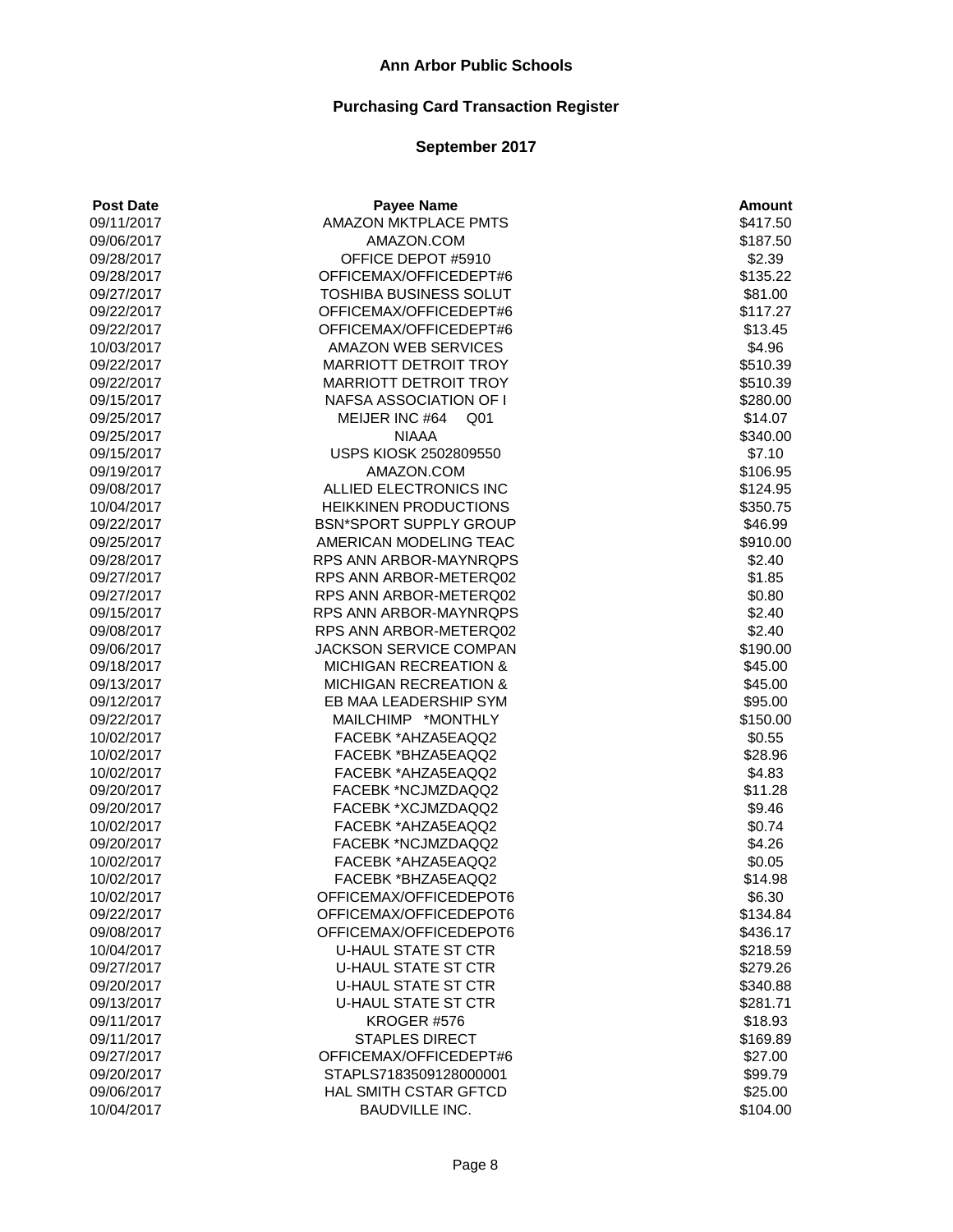# **Purchasing Card Transaction Register**

| <b>Post Date</b>         | <b>Payee Name</b>                 | <b>Amount</b>       |
|--------------------------|-----------------------------------|---------------------|
| 09/11/2017               | <b>AMAZON MKTPLACE PMTS</b>       | \$417.50            |
| 09/06/2017               | AMAZON.COM                        | \$187.50            |
| 09/28/2017               | OFFICE DEPOT #5910                | \$2.39              |
| 09/28/2017               | OFFICEMAX/OFFICEDEPT#6            | \$135.22            |
| 09/27/2017               | TOSHIBA BUSINESS SOLUT            | \$81.00             |
| 09/22/2017               | OFFICEMAX/OFFICEDEPT#6            | \$117.27            |
| 09/22/2017               | OFFICEMAX/OFFICEDEPT#6            | \$13.45             |
| 10/03/2017               | <b>AMAZON WEB SERVICES</b>        | \$4.96              |
| 09/22/2017               | <b>MARRIOTT DETROIT TROY</b>      | \$510.39            |
| 09/22/2017               | <b>MARRIOTT DETROIT TROY</b>      | \$510.39            |
| 09/15/2017               | NAFSA ASSOCIATION OF I            | \$280.00            |
| 09/25/2017               | MEIJER INC #64<br>Q <sub>01</sub> | \$14.07             |
| 09/25/2017               | <b>NIAAA</b>                      | \$340.00            |
| 09/15/2017               | USPS KIOSK 2502809550             | \$7.10              |
| 09/19/2017               | AMAZON.COM                        | \$106.95            |
| 09/08/2017               | ALLIED ELECTRONICS INC            | \$124.95            |
| 10/04/2017               | <b>HEIKKINEN PRODUCTIONS</b>      | \$350.75            |
| 09/22/2017               | <b>BSN*SPORT SUPPLY GROUP</b>     | \$46.99             |
| 09/25/2017               | AMERICAN MODELING TEAC            | \$910.00            |
| 09/28/2017               | RPS ANN ARBOR-MAYNRQPS            | \$2.40              |
| 09/27/2017               | RPS ANN ARBOR-METERQ02            | \$1.85              |
| 09/27/2017               | RPS ANN ARBOR-METERQ02            | \$0.80              |
| 09/15/2017               | RPS ANN ARBOR-MAYNRQPS            | \$2.40              |
| 09/08/2017               | RPS ANN ARBOR-METERQ02            | \$2.40              |
| 09/06/2017               | JACKSON SERVICE COMPAN            | \$190.00            |
| 09/18/2017               | <b>MICHIGAN RECREATION &amp;</b>  | \$45.00             |
| 09/13/2017               | <b>MICHIGAN RECREATION &amp;</b>  | \$45.00             |
| 09/12/2017               | EB MAA LEADERSHIP SYM             | \$95.00             |
| 09/22/2017               | MAILCHIMP *MONTHLY                | \$150.00            |
| 10/02/2017               | FACEBK *AHZA5EAQQ2                | \$0.55              |
| 10/02/2017               | FACEBK *BHZA5EAQQ2                | \$28.96             |
| 10/02/2017               | FACEBK *AHZA5EAQQ2                | \$4.83              |
| 09/20/2017               | FACEBK *NCJMZDAQQ2                | \$11.28             |
| 09/20/2017               | FACEBK *XCJMZDAQQ2                | \$9.46              |
| 10/02/2017               | FACEBK *AHZA5EAQQ2                | \$0.74              |
| 09/20/2017               | FACEBK *NCJMZDAQQ2                | \$4.26              |
| 10/02/2017               | FACEBK *AHZA5EAQQ2                | \$0.05              |
| 10/02/2017               | FACEBK *BHZA5EAQQ2                | \$14.98             |
| 10/02/2017               | OFFICEMAX/OFFICEDEPOT6            | \$6.30              |
| 09/22/2017               | OFFICEMAX/OFFICEDEPOT6            | \$134.84            |
| 09/08/2017               | OFFICEMAX/OFFICEDEPOT6            | \$436.17            |
| 10/04/2017               | <b>U-HAUL STATE ST CTR</b>        | \$218.59            |
|                          | <b>U-HAUL STATE ST CTR</b>        | \$279.26            |
| 09/27/2017<br>09/20/2017 | <b>U-HAUL STATE ST CTR</b>        | \$340.88            |
|                          | <b>U-HAUL STATE ST CTR</b>        |                     |
| 09/13/2017               | KROGER #576                       | \$281.71<br>\$18.93 |
| 09/11/2017               |                                   |                     |
| 09/11/2017               | <b>STAPLES DIRECT</b>             | \$169.89            |
| 09/27/2017               | OFFICEMAX/OFFICEDEPT#6            | \$27.00             |
| 09/20/2017               | STAPLS7183509128000001            | \$99.79             |
| 09/06/2017               | HAL SMITH CSTAR GFTCD             | \$25.00             |
| 10/04/2017               | <b>BAUDVILLE INC.</b>             | \$104.00            |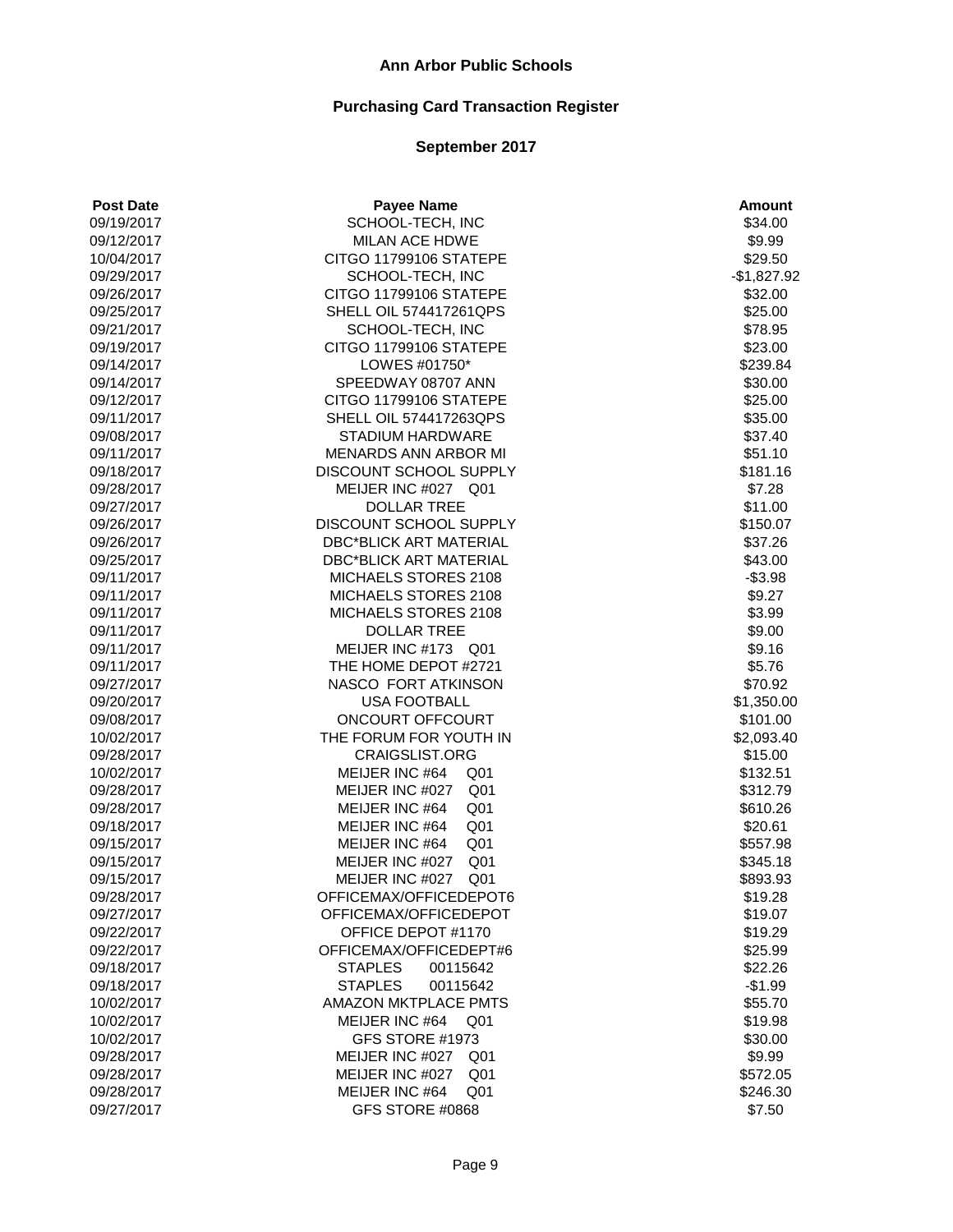| <b>Post Date</b>         | <b>Payee Name</b>                        | <b>Amount</b>      |
|--------------------------|------------------------------------------|--------------------|
| 09/19/2017               | SCHOOL-TECH, INC                         | \$34.00            |
| 09/12/2017               | MILAN ACE HDWE                           | \$9.99             |
| 10/04/2017               | CITGO 11799106 STATEPE                   | \$29.50            |
| 09/29/2017               | SCHOOL-TECH, INC                         | $-$1,827.92$       |
| 09/26/2017               | CITGO 11799106 STATEPE                   | \$32.00            |
| 09/25/2017               | <b>SHELL OIL 574417261QPS</b>            | \$25.00            |
| 09/21/2017               | SCHOOL-TECH, INC                         | \$78.95            |
| 09/19/2017               | CITGO 11799106 STATEPE                   | \$23.00            |
| 09/14/2017               | LOWES #01750*                            | \$239.84           |
| 09/14/2017               | SPEEDWAY 08707 ANN                       | \$30.00            |
| 09/12/2017               | CITGO 11799106 STATEPE                   | \$25.00            |
| 09/11/2017               | SHELL OIL 574417263QPS                   | \$35.00            |
| 09/08/2017               | <b>STADIUM HARDWARE</b>                  | \$37.40            |
| 09/11/2017               | MENARDS ANN ARBOR MI                     | \$51.10            |
| 09/18/2017               | DISCOUNT SCHOOL SUPPLY                   | \$181.16           |
| 09/28/2017               | MEIJER INC #027 Q01                      | \$7.28             |
| 09/27/2017               | <b>DOLLAR TREE</b>                       | \$11.00            |
| 09/26/2017               | DISCOUNT SCHOOL SUPPLY                   | \$150.07           |
| 09/26/2017               | <b>DBC*BLICK ART MATERIAL</b>            | \$37.26            |
| 09/25/2017               | <b>DBC*BLICK ART MATERIAL</b>            | \$43.00            |
| 09/11/2017               | MICHAELS STORES 2108                     | $- $3.98$          |
| 09/11/2017               | MICHAELS STORES 2108                     | \$9.27             |
| 09/11/2017               | MICHAELS STORES 2108                     | \$3.99             |
| 09/11/2017               | <b>DOLLAR TREE</b>                       | \$9.00             |
| 09/11/2017               | MEIJER INC #173 Q01                      | \$9.16             |
| 09/11/2017               | THE HOME DEPOT #2721                     | \$5.76             |
| 09/27/2017               | NASCO FORT ATKINSON                      | \$70.92            |
| 09/20/2017               | <b>USA FOOTBALL</b>                      | \$1,350.00         |
| 09/08/2017               | ONCOURT OFFCOURT                         | \$101.00           |
| 10/02/2017               | THE FORUM FOR YOUTH IN                   | \$2,093.40         |
| 09/28/2017               | CRAIGSLIST.ORG                           | \$15.00            |
| 10/02/2017               | MEIJER INC #64<br>Q <sub>01</sub>        | \$132.51           |
| 09/28/2017               | MEIJER INC #027<br>Q <sub>01</sub>       | \$312.79           |
| 09/28/2017               | Q <sub>01</sub><br>MEIJER INC #64        | \$610.26           |
| 09/18/2017               | MEIJER INC #64<br>Q <sub>01</sub>        | \$20.61            |
| 09/15/2017               | MEIJER INC #64<br>Q <sub>01</sub>        | \$557.98           |
| 09/15/2017               | MEIJER INC #027<br>Q <sub>01</sub>       | \$345.18           |
| 09/15/2017               | MEIJER INC #027<br>Q <sub>01</sub>       | \$893.93           |
| 09/28/2017               | OFFICEMAX/OFFICEDEPOT6                   | \$19.28            |
| 09/27/2017               | OFFICEMAX/OFFICEDEPOT                    | \$19.07            |
| 09/22/2017               | OFFICE DEPOT #1170                       | \$19.29            |
| 09/22/2017               | OFFICEMAX/OFFICEDEPT#6                   | \$25.99            |
| 09/18/2017               | <b>STAPLES</b><br>00115642               | \$22.26            |
| 09/18/2017               | <b>STAPLES</b><br>00115642               | $-$1.99$           |
| 10/02/2017               | <b>AMAZON MKTPLACE PMTS</b>              | \$55.70            |
|                          |                                          |                    |
| 10/02/2017               | MEIJER INC #64<br>Q01<br>GFS STORE #1973 | \$19.98<br>\$30.00 |
| 10/02/2017               | MEIJER INC #027                          |                    |
| 09/28/2017<br>09/28/2017 | Q01                                      | \$9.99<br>\$572.05 |
|                          | MEIJER INC #027<br>Q <sub>01</sub>       |                    |
| 09/28/2017               | MEIJER INC #64<br>Q <sub>01</sub>        | \$246.30           |
| 09/27/2017               | GFS STORE #0868                          | \$7.50             |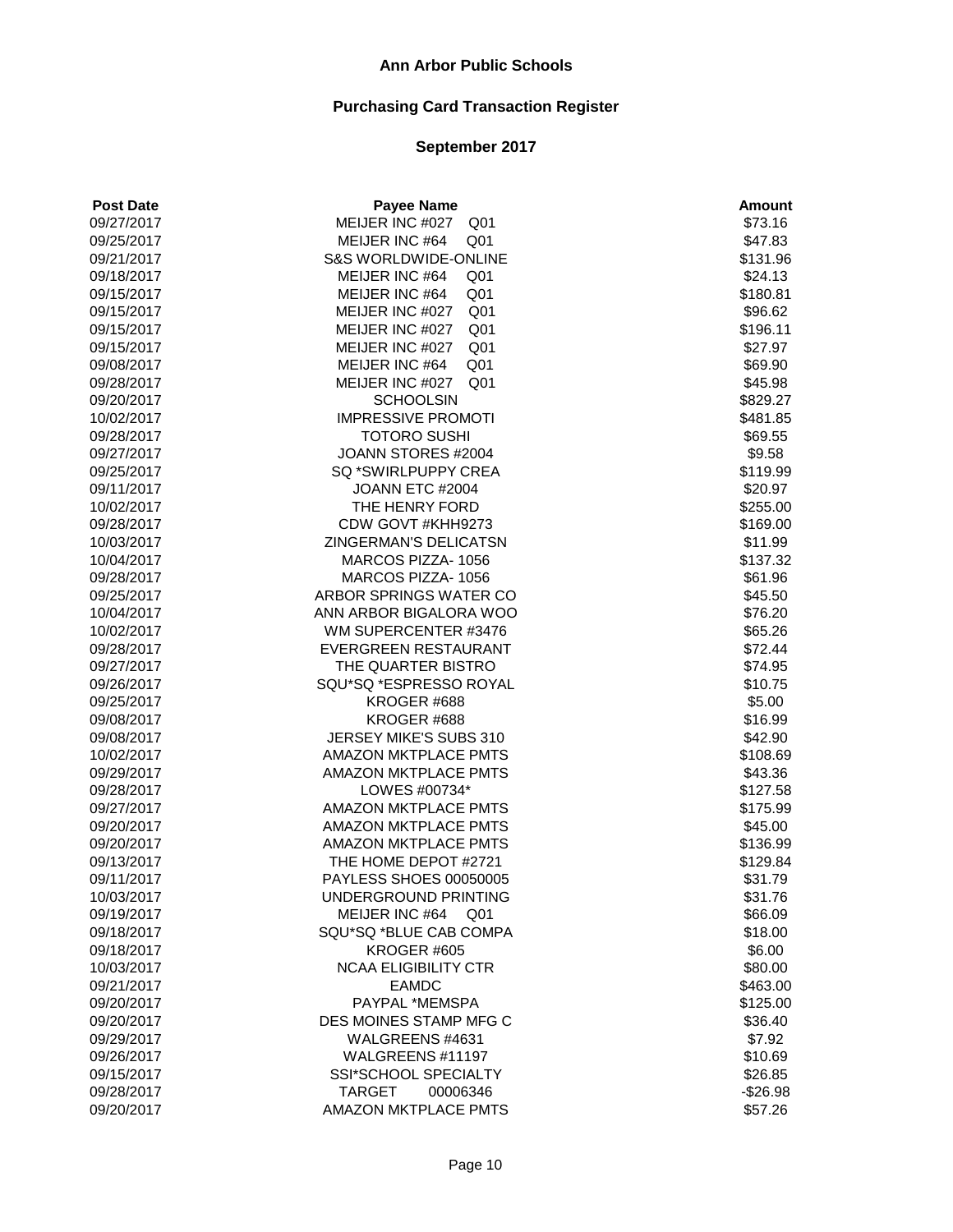| <b>Post Date</b> | <b>Payee Name</b>                  | <b>Amount</b> |
|------------------|------------------------------------|---------------|
| 09/27/2017       | MEIJER INC #027<br>Q <sub>01</sub> | \$73.16       |
| 09/25/2017       | MEIJER INC #64<br>Q <sub>01</sub>  | \$47.83       |
| 09/21/2017       | <b>S&amp;S WORLDWIDE-ONLINE</b>    | \$131.96      |
| 09/18/2017       | MEIJER INC #64<br>Q <sub>01</sub>  | \$24.13       |
| 09/15/2017       | Q <sub>01</sub><br>MEIJER INC #64  | \$180.81      |
| 09/15/2017       | MEIJER INC #027<br>Q <sub>01</sub> | \$96.62       |
| 09/15/2017       | MEIJER INC #027<br>Q <sub>01</sub> | \$196.11      |
| 09/15/2017       | MEIJER INC #027<br>Q <sub>01</sub> | \$27.97       |
| 09/08/2017       | MEIJER INC #64<br>Q <sub>01</sub>  | \$69.90       |
| 09/28/2017       | MEIJER INC #027<br>Q <sub>01</sub> | \$45.98       |
| 09/20/2017       | <b>SCHOOLSIN</b>                   | \$829.27      |
| 10/02/2017       | <b>IMPRESSIVE PROMOTI</b>          | \$481.85      |
| 09/28/2017       | <b>TOTORO SUSHI</b>                | \$69.55       |
| 09/27/2017       | JOANN STORES #2004                 | \$9.58        |
| 09/25/2017       | SQ *SWIRLPUPPY CREA                | \$119.99      |
| 09/11/2017       | JOANN ETC #2004                    | \$20.97       |
| 10/02/2017       | THE HENRY FORD                     | \$255.00      |
| 09/28/2017       | CDW GOVT #KHH9273                  | \$169.00      |
| 10/03/2017       | <b>ZINGERMAN'S DELICATSN</b>       | \$11.99       |
| 10/04/2017       | MARCOS PIZZA-1056                  | \$137.32      |
| 09/28/2017       | MARCOS PIZZA-1056                  | \$61.96       |
| 09/25/2017       | ARBOR SPRINGS WATER CO             | \$45.50       |
| 10/04/2017       | ANN ARBOR BIGALORA WOO             | \$76.20       |
| 10/02/2017       | WM SUPERCENTER #3476               | \$65.26       |
| 09/28/2017       | EVERGREEN RESTAURANT               | \$72.44       |
| 09/27/2017       | THE QUARTER BISTRO                 | \$74.95       |
| 09/26/2017       | SQU*SQ *ESPRESSO ROYAL             | \$10.75       |
| 09/25/2017       | KROGER #688                        | \$5.00        |
| 09/08/2017       | KROGER #688                        | \$16.99       |
| 09/08/2017       | JERSEY MIKE'S SUBS 310             | \$42.90       |
| 10/02/2017       | AMAZON MKTPLACE PMTS               | \$108.69      |
| 09/29/2017       | AMAZON MKTPLACE PMTS               | \$43.36       |
| 09/28/2017       | LOWES #00734*                      | \$127.58      |
| 09/27/2017       | <b>AMAZON MKTPLACE PMTS</b>        | \$175.99      |
| 09/20/2017       | <b>AMAZON MKTPLACE PMTS</b>        | \$45.00       |
| 09/20/2017       | AMAZON MKTPLACE PMTS               | \$136.99      |
| 09/13/2017       | THE HOME DEPOT #2721               | \$129.84      |
| 09/11/2017       | PAYLESS SHOES 00050005             | \$31.79       |
| 10/03/2017       | UNDERGROUND PRINTING               | \$31.76       |
| 09/19/2017       | MEIJER INC #64<br>Q01              | \$66.09       |
| 09/18/2017       | SQU*SQ *BLUE CAB COMPA             | \$18.00       |
| 09/18/2017       | KROGER #605                        | \$6.00        |
| 10/03/2017       | <b>NCAA ELIGIBILITY CTR</b>        | \$80.00       |
| 09/21/2017       | <b>EAMDC</b>                       | \$463.00      |
| 09/20/2017       | PAYPAL *MEMSPA                     | \$125.00      |
| 09/20/2017       | DES MOINES STAMP MFG C             | \$36.40       |
| 09/29/2017       | WALGREENS #4631                    | \$7.92        |
| 09/26/2017       | WALGREENS #11197                   | \$10.69       |
| 09/15/2017       | SSI*SCHOOL SPECIALTY               | \$26.85       |
| 09/28/2017       | <b>TARGET</b><br>00006346          | $-$26.98$     |
| 09/20/2017       | AMAZON MKTPLACE PMTS               | \$57.26       |
|                  |                                    |               |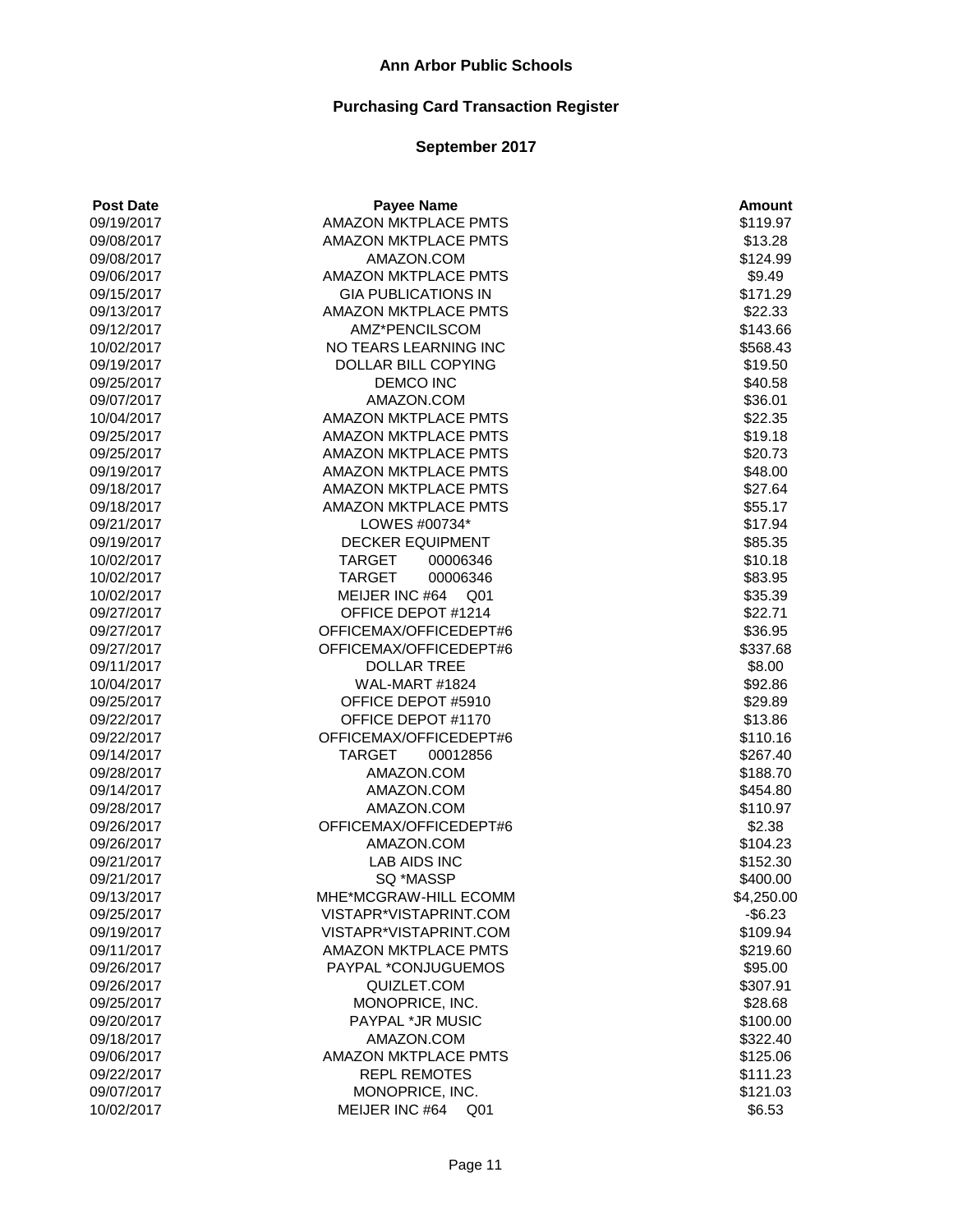# **Purchasing Card Transaction Register**

| <b>Post Date</b> | <b>Payee Name</b>                 | <b>Amount</b> |
|------------------|-----------------------------------|---------------|
| 09/19/2017       | <b>AMAZON MKTPLACE PMTS</b>       | \$119.97      |
| 09/08/2017       | <b>AMAZON MKTPLACE PMTS</b>       | \$13.28       |
| 09/08/2017       | AMAZON.COM                        | \$124.99      |
| 09/06/2017       | <b>AMAZON MKTPLACE PMTS</b>       | \$9.49        |
| 09/15/2017       | <b>GIA PUBLICATIONS IN</b>        | \$171.29      |
| 09/13/2017       | <b>AMAZON MKTPLACE PMTS</b>       | \$22.33       |
| 09/12/2017       | AMZ*PENCILSCOM                    | \$143.66      |
| 10/02/2017       | NO TEARS LEARNING INC             | \$568.43      |
| 09/19/2017       | DOLLAR BILL COPYING               | \$19.50       |
| 09/25/2017       | <b>DEMCO INC</b>                  | \$40.58       |
| 09/07/2017       | AMAZON.COM                        | \$36.01       |
| 10/04/2017       | AMAZON MKTPLACE PMTS              | \$22.35       |
| 09/25/2017       | <b>AMAZON MKTPLACE PMTS</b>       | \$19.18       |
| 09/25/2017       | <b>AMAZON MKTPLACE PMTS</b>       | \$20.73       |
| 09/19/2017       | AMAZON MKTPLACE PMTS              | \$48.00       |
| 09/18/2017       | <b>AMAZON MKTPLACE PMTS</b>       | \$27.64       |
| 09/18/2017       | <b>AMAZON MKTPLACE PMTS</b>       | \$55.17       |
| 09/21/2017       | LOWES #00734*                     | \$17.94       |
| 09/19/2017       | <b>DECKER EQUIPMENT</b>           | \$85.35       |
| 10/02/2017       | <b>TARGET</b><br>00006346         | \$10.18       |
| 10/02/2017       | <b>TARGET</b><br>00006346         | \$83.95       |
| 10/02/2017       | MEIJER INC #64<br>Q <sub>01</sub> | \$35.39       |
| 09/27/2017       | OFFICE DEPOT #1214                | \$22.71       |
| 09/27/2017       | OFFICEMAX/OFFICEDEPT#6            | \$36.95       |
| 09/27/2017       | OFFICEMAX/OFFICEDEPT#6            | \$337.68      |
| 09/11/2017       | <b>DOLLAR TREE</b>                | \$8.00        |
| 10/04/2017       | WAL-MART #1824                    | \$92.86       |
| 09/25/2017       | OFFICE DEPOT #5910                | \$29.89       |
| 09/22/2017       | OFFICE DEPOT #1170                | \$13.86       |
| 09/22/2017       | OFFICEMAX/OFFICEDEPT#6            | \$110.16      |
| 09/14/2017       | <b>TARGET</b><br>00012856         | \$267.40      |
| 09/28/2017       | AMAZON.COM                        | \$188.70      |
| 09/14/2017       | AMAZON.COM                        | \$454.80      |
| 09/28/2017       | AMAZON.COM                        | \$110.97      |
| 09/26/2017       | OFFICEMAX/OFFICEDEPT#6            | \$2.38        |
| 09/26/2017       | AMAZON.COM                        | \$104.23      |
| 09/21/2017       | <b>LAB AIDS INC</b>               | \$152.30      |
| 09/21/2017       | SQ *MASSP                         | \$400.00      |
| 09/13/2017       | MHE*MCGRAW-HILL ECOMM             | \$4,250.00    |
| 09/25/2017       | VISTAPR*VISTAPRINT.COM            | $-$ \$6.23    |
| 09/19/2017       | VISTAPR*VISTAPRINT.COM            | \$109.94      |
| 09/11/2017       | <b>AMAZON MKTPLACE PMTS</b>       | \$219.60      |
| 09/26/2017       | PAYPAL *CONJUGUEMOS               | \$95.00       |
| 09/26/2017       | QUIZLET.COM                       | \$307.91      |
| 09/25/2017       | MONOPRICE, INC.                   | \$28.68       |
| 09/20/2017       | PAYPAL *JR MUSIC                  | \$100.00      |
| 09/18/2017       | AMAZON.COM                        | \$322.40      |
| 09/06/2017       | <b>AMAZON MKTPLACE PMTS</b>       | \$125.06      |
| 09/22/2017       | <b>REPL REMOTES</b>               | \$111.23      |
| 09/07/2017       | MONOPRICE, INC.                   | \$121.03      |
| 10/02/2017       | MEIJER INC #64<br>Q01             | \$6.53        |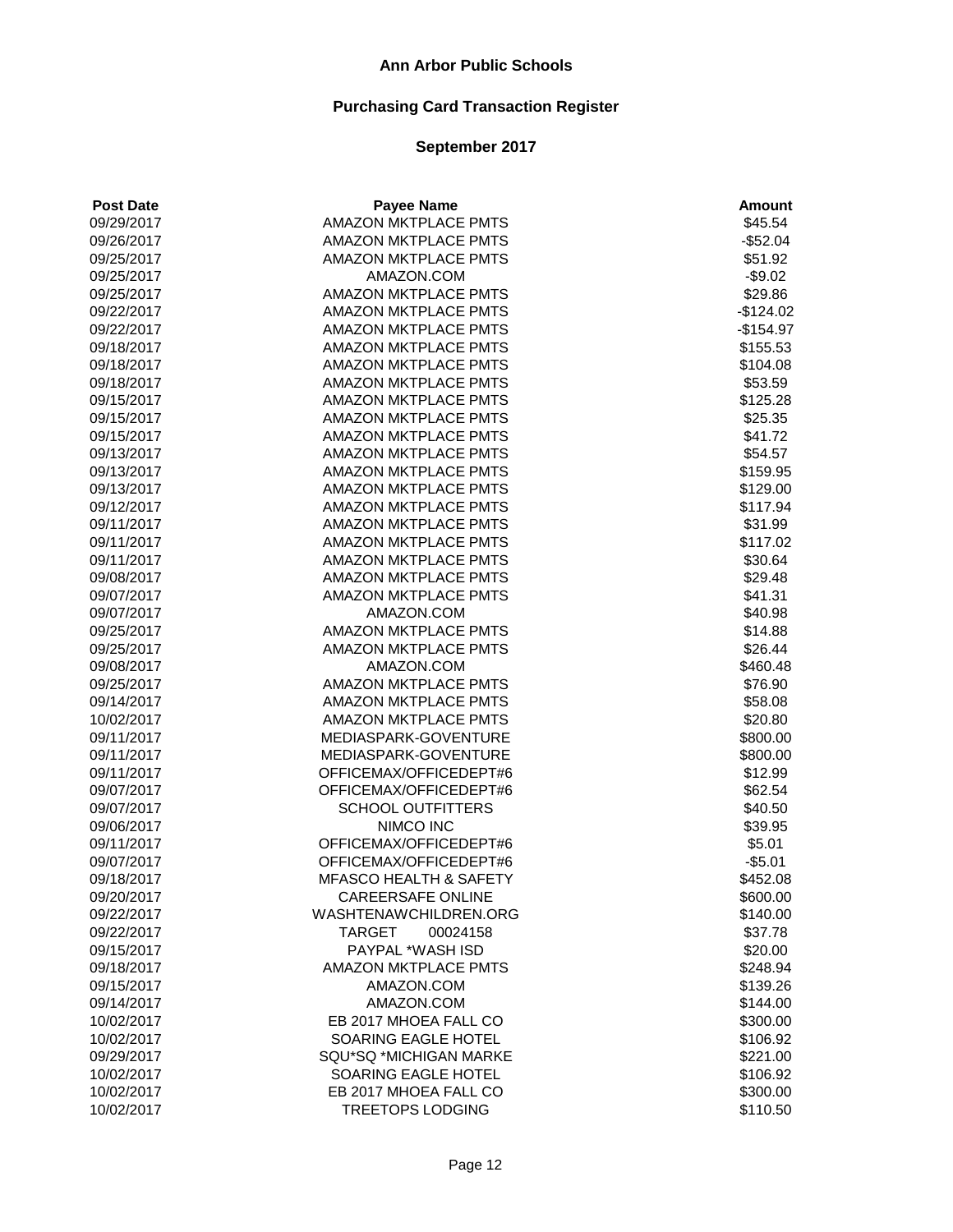| <b>Post Date</b> | <b>Payee Name</b>                 | <b>Amount</b> |
|------------------|-----------------------------------|---------------|
| 09/29/2017       | <b>AMAZON MKTPLACE PMTS</b>       | \$45.54       |
| 09/26/2017       | <b>AMAZON MKTPLACE PMTS</b>       | $-$52.04$     |
| 09/25/2017       | <b>AMAZON MKTPLACE PMTS</b>       | \$51.92       |
| 09/25/2017       | AMAZON.COM                        | $-$9.02$      |
| 09/25/2017       | AMAZON MKTPLACE PMTS              | \$29.86       |
| 09/22/2017       | AMAZON MKTPLACE PMTS              | $-$124.02$    |
| 09/22/2017       | <b>AMAZON MKTPLACE PMTS</b>       | $-$154.97$    |
| 09/18/2017       | <b>AMAZON MKTPLACE PMTS</b>       | \$155.53      |
| 09/18/2017       | <b>AMAZON MKTPLACE PMTS</b>       | \$104.08      |
| 09/18/2017       | AMAZON MKTPLACE PMTS              | \$53.59       |
| 09/15/2017       | AMAZON MKTPLACE PMTS              | \$125.28      |
| 09/15/2017       | <b>AMAZON MKTPLACE PMTS</b>       | \$25.35       |
| 09/15/2017       | AMAZON MKTPLACE PMTS              | \$41.72       |
| 09/13/2017       | <b>AMAZON MKTPLACE PMTS</b>       | \$54.57       |
| 09/13/2017       | AMAZON MKTPLACE PMTS              | \$159.95      |
| 09/13/2017       | <b>AMAZON MKTPLACE PMTS</b>       | \$129.00      |
| 09/12/2017       | <b>AMAZON MKTPLACE PMTS</b>       | \$117.94      |
| 09/11/2017       | <b>AMAZON MKTPLACE PMTS</b>       | \$31.99       |
| 09/11/2017       | <b>AMAZON MKTPLACE PMTS</b>       | \$117.02      |
| 09/11/2017       | AMAZON MKTPLACE PMTS              | \$30.64       |
| 09/08/2017       | AMAZON MKTPLACE PMTS              | \$29.48       |
| 09/07/2017       | AMAZON MKTPLACE PMTS              | \$41.31       |
| 09/07/2017       | AMAZON.COM                        | \$40.98       |
| 09/25/2017       | AMAZON MKTPLACE PMTS              | \$14.88       |
| 09/25/2017       | AMAZON MKTPLACE PMTS              | \$26.44       |
| 09/08/2017       | AMAZON.COM                        | \$460.48      |
| 09/25/2017       | AMAZON MKTPLACE PMTS              | \$76.90       |
| 09/14/2017       | AMAZON MKTPLACE PMTS              | \$58.08       |
| 10/02/2017       | <b>AMAZON MKTPLACE PMTS</b>       | \$20.80       |
| 09/11/2017       | MEDIASPARK-GOVENTURE              | \$800.00      |
| 09/11/2017       | MEDIASPARK-GOVENTURE              | \$800.00      |
| 09/11/2017       | OFFICEMAX/OFFICEDEPT#6            | \$12.99       |
| 09/07/2017       | OFFICEMAX/OFFICEDEPT#6            | \$62.54       |
| 09/07/2017       | <b>SCHOOL OUTFITTERS</b>          | \$40.50       |
| 09/06/2017       | NIMCO INC                         | \$39.95       |
| 09/11/2017       | OFFICEMAX/OFFICEDEPT#6            | \$5.01        |
| 09/07/2017       | OFFICEMAX/OFFICEDEPT#6            | $-$5.01$      |
| 09/18/2017       | <b>MFASCO HEALTH &amp; SAFETY</b> | \$452.08      |
| 09/20/2017       | CAREERSAFE ONLINE                 | \$600.00      |
| 09/22/2017       | WASHTENAWCHILDREN.ORG             | \$140.00      |
| 09/22/2017       | <b>TARGET</b><br>00024158         | \$37.78       |
| 09/15/2017       | PAYPAL *WASH ISD                  | \$20.00       |
| 09/18/2017       | <b>AMAZON MKTPLACE PMTS</b>       | \$248.94      |
| 09/15/2017       | AMAZON.COM                        | \$139.26      |
| 09/14/2017       | AMAZON.COM                        | \$144.00      |
| 10/02/2017       | EB 2017 MHOEA FALL CO             | \$300.00      |
| 10/02/2017       | SOARING EAGLE HOTEL               | \$106.92      |
| 09/29/2017       | SQU*SQ *MICHIGAN MARKE            | \$221.00      |
| 10/02/2017       | SOARING EAGLE HOTEL               | \$106.92      |
| 10/02/2017       | EB 2017 MHOEA FALL CO             | \$300.00      |
| 10/02/2017       | <b>TREETOPS LODGING</b>           | \$110.50      |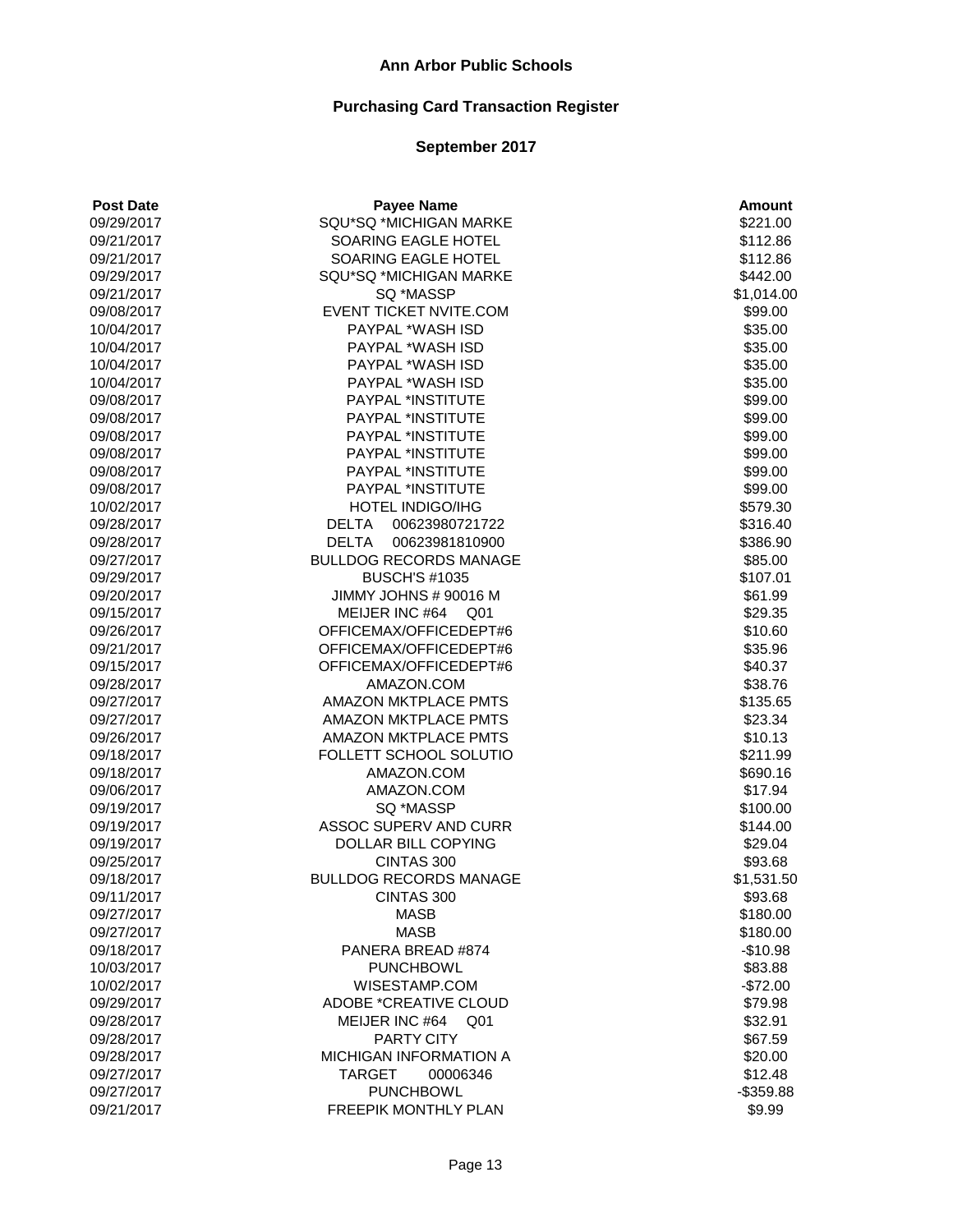# **Purchasing Card Transaction Register**

| <b>Post Date</b> | <b>Payee Name</b>                   | <b>Amount</b>        |
|------------------|-------------------------------------|----------------------|
| 09/29/2017       | SQU*SQ *MICHIGAN MARKE              | \$221.00             |
| 09/21/2017       | SOARING EAGLE HOTEL                 | \$112.86             |
| 09/21/2017       | SOARING EAGLE HOTEL                 | \$112.86             |
| 09/29/2017       | SQU*SQ *MICHIGAN MARKE              | \$442.00             |
| 09/21/2017       | SQ *MASSP                           | \$1,014.00           |
| 09/08/2017       | EVENT TICKET NVITE.COM              | \$99.00              |
| 10/04/2017       | <b>PAYPAL *WASH ISD</b>             | \$35.00              |
| 10/04/2017       | <b>PAYPAL *WASH ISD</b>             | \$35.00              |
| 10/04/2017       | PAYPAL *WASH ISD                    | \$35.00              |
| 10/04/2017       | PAYPAL *WASH ISD                    | \$35.00              |
| 09/08/2017       | PAYPAL *INSTITUTE                   | \$99.00              |
| 09/08/2017       | PAYPAL *INSTITUTE                   | \$99.00              |
| 09/08/2017       | PAYPAL *INSTITUTE                   | \$99.00              |
| 09/08/2017       | PAYPAL *INSTITUTE                   | \$99.00              |
| 09/08/2017       | PAYPAL *INSTITUTE                   | \$99.00              |
| 09/08/2017       | PAYPAL *INSTITUTE                   | \$99.00              |
| 10/02/2017       | HOTEL INDIGO/IHG                    | \$579.30             |
| 09/28/2017       | <b>DELTA</b><br>00623980721722      | \$316.40             |
| 09/28/2017       | <b>DELTA</b><br>00623981810900      | \$386.90             |
| 09/27/2017       | <b>BULLDOG RECORDS MANAGE</b>       | \$85.00              |
| 09/29/2017       | <b>BUSCH'S #1035</b>                | \$107.01             |
| 09/20/2017       | JIMMY JOHNS # 90016 M               | \$61.99              |
| 09/15/2017       | MEIJER INC #64<br>Q01               | \$29.35              |
| 09/26/2017       | OFFICEMAX/OFFICEDEPT#6              | \$10.60              |
| 09/21/2017       | OFFICEMAX/OFFICEDEPT#6              | \$35.96              |
| 09/15/2017       | OFFICEMAX/OFFICEDEPT#6              | \$40.37              |
| 09/28/2017       | AMAZON.COM                          | \$38.76              |
| 09/27/2017       | <b>AMAZON MKTPLACE PMTS</b>         | \$135.65             |
| 09/27/2017       | AMAZON MKTPLACE PMTS                | \$23.34              |
| 09/26/2017       | <b>AMAZON MKTPLACE PMTS</b>         | \$10.13              |
| 09/18/2017       | FOLLETT SCHOOL SOLUTIO              | \$211.99             |
| 09/18/2017       | AMAZON.COM                          | \$690.16             |
| 09/06/2017       | AMAZON.COM                          | \$17.94              |
| 09/19/2017       | SQ *MASSP                           | \$100.00             |
| 09/19/2017       | ASSOC SUPERV AND CURR               | \$144.00             |
| 09/19/2017       | DOLLAR BILL COPYING                 | \$29.04              |
| 09/25/2017       | CINTAS 300                          | \$93.68              |
| 09/18/2017       | <b>BULLDOG RECORDS MANAGE</b>       | \$1,531.50           |
| 09/11/2017       | CINTAS 300                          | \$93.68              |
| 09/27/2017       | <b>MASB</b>                         |                      |
| 09/27/2017       | <b>MASB</b>                         | \$180.00<br>\$180.00 |
| 09/18/2017       | PANERA BREAD #874                   | $-$10.98$            |
| 10/03/2017       | <b>PUNCHBOWL</b>                    | \$83.88              |
|                  | WISESTAMP.COM                       |                      |
| 10/02/2017       | <b>ADOBE *CREATIVE CLOUD</b>        | $-$72.00$            |
| 09/29/2017       | Q <sub>01</sub>                     | \$79.98              |
| 09/28/2017       | MEIJER INC #64<br><b>PARTY CITY</b> | \$32.91              |
| 09/28/2017       | MICHIGAN INFORMATION A              | \$67.59              |
| 09/28/2017       | 00006346                            | \$20.00              |
| 09/27/2017       | <b>TARGET</b>                       | \$12.48              |
| 09/27/2017       | <b>PUNCHBOWL</b>                    | $-$ \$359.88         |
| 09/21/2017       | FREEPIK MONTHLY PLAN                | \$9.99               |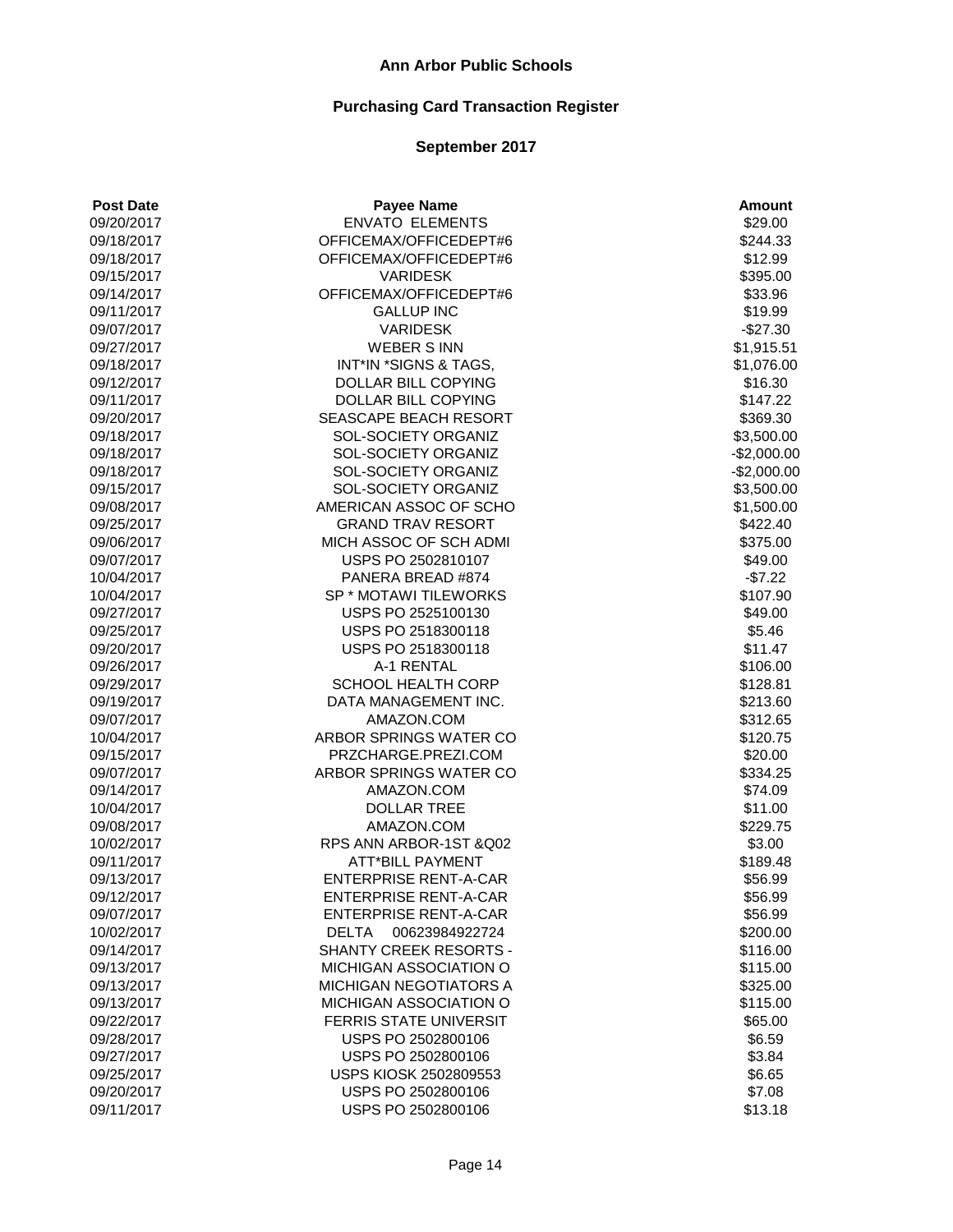# **Purchasing Card Transaction Register**

| <b>ENVATO ELEMENTS</b><br>09/20/2017<br>\$29.00<br>OFFICEMAX/OFFICEDEPT#6<br>\$244.33<br>09/18/2017<br>\$12.99<br>09/18/2017<br>OFFICEMAX/OFFICEDEPT#6<br><b>VARIDESK</b><br>\$395.00<br>09/15/2017<br>OFFICEMAX/OFFICEDEPT#6<br>09/14/2017<br>\$33.96<br>\$19.99<br>09/11/2017<br><b>GALLUP INC</b><br>$-$27.30$<br>09/07/2017<br><b>VARIDESK</b><br>09/27/2017<br><b>WEBER S INN</b><br>\$1,915.51<br>INT*IN *SIGNS & TAGS,<br>\$1,076.00<br>09/18/2017<br>DOLLAR BILL COPYING<br>\$16.30<br>09/12/2017<br>09/11/2017<br>DOLLAR BILL COPYING<br>\$147.22<br>SEASCAPE BEACH RESORT<br>\$369.30<br>09/20/2017<br>SOL-SOCIETY ORGANIZ<br>\$3,500.00<br>09/18/2017<br>SOL-SOCIETY ORGANIZ<br>$-$2,000.00$<br>09/18/2017<br>09/18/2017<br>SOL-SOCIETY ORGANIZ<br>$-$2,000.00$<br>SOL-SOCIETY ORGANIZ<br>\$3,500.00<br>09/15/2017<br>AMERICAN ASSOC OF SCHO<br>09/08/2017<br>\$1,500.00<br><b>GRAND TRAV RESORT</b><br>\$422.40<br>09/25/2017<br>MICH ASSOC OF SCH ADMI<br>\$375.00<br>09/06/2017<br>USPS PO 2502810107<br>\$49.00<br>09/07/2017<br>$-$7.22$<br>PANERA BREAD #874<br>10/04/2017<br>SP * MOTAWI TILEWORKS<br>\$107.90<br>10/04/2017<br>09/27/2017<br>USPS PO 2525100130<br>\$49.00<br>09/25/2017<br>USPS PO 2518300118<br>\$5.46<br>09/20/2017<br>USPS PO 2518300118<br>\$11.47<br>A-1 RENTAL<br>09/26/2017<br>\$106.00<br>SCHOOL HEALTH CORP<br>09/29/2017<br>\$128.81<br>DATA MANAGEMENT INC.<br>\$213.60<br>09/19/2017<br>\$312.65<br>09/07/2017<br>AMAZON.COM<br>10/04/2017<br>ARBOR SPRINGS WATER CO<br>\$120.75<br>PRZCHARGE.PREZI.COM<br>\$20.00<br>09/15/2017<br>ARBOR SPRINGS WATER CO<br>\$334.25<br>09/07/2017<br>AMAZON.COM<br>\$74.09<br>09/14/2017<br><b>DOLLAR TREE</b><br>\$11.00<br>10/04/2017<br>AMAZON.COM<br>09/08/2017<br>\$229.75<br>RPS ANN ARBOR-1ST & Q02<br>10/02/2017<br>\$3.00<br>09/11/2017<br><b>ATT*BILL PAYMENT</b><br>\$189.48<br><b>ENTERPRISE RENT-A-CAR</b><br>09/13/2017<br>\$56.99<br>\$56.99<br>09/12/2017<br><b>ENTERPRISE RENT-A-CAR</b><br>09/07/2017<br><b>ENTERPRISE RENT-A-CAR</b><br>\$56.99<br>10/02/2017<br><b>DELTA</b><br>00623984922724<br>\$200.00<br><b>SHANTY CREEK RESORTS -</b><br>09/14/2017<br>\$116.00<br>MICHIGAN ASSOCIATION O<br>\$115.00<br>09/13/2017<br>09/13/2017<br><b>MICHIGAN NEGOTIATORS A</b><br>\$325.00<br>MICHIGAN ASSOCIATION O<br>09/13/2017<br>\$115.00<br>FERRIS STATE UNIVERSIT<br>09/22/2017<br>\$65.00<br>\$6.59<br>09/28/2017<br>USPS PO 2502800106<br>09/27/2017<br>USPS PO 2502800106<br>\$3.84<br>09/25/2017<br><b>USPS KIOSK 2502809553</b><br>\$6.65<br>09/20/2017<br>USPS PO 2502800106<br>\$7.08<br>09/11/2017<br>USPS PO 2502800106<br>\$13.18 | <b>Post Date</b> | <b>Payee Name</b> | <b>Amount</b> |
|-----------------------------------------------------------------------------------------------------------------------------------------------------------------------------------------------------------------------------------------------------------------------------------------------------------------------------------------------------------------------------------------------------------------------------------------------------------------------------------------------------------------------------------------------------------------------------------------------------------------------------------------------------------------------------------------------------------------------------------------------------------------------------------------------------------------------------------------------------------------------------------------------------------------------------------------------------------------------------------------------------------------------------------------------------------------------------------------------------------------------------------------------------------------------------------------------------------------------------------------------------------------------------------------------------------------------------------------------------------------------------------------------------------------------------------------------------------------------------------------------------------------------------------------------------------------------------------------------------------------------------------------------------------------------------------------------------------------------------------------------------------------------------------------------------------------------------------------------------------------------------------------------------------------------------------------------------------------------------------------------------------------------------------------------------------------------------------------------------------------------------------------------------------------------------------------------------------------------------------------------------------------------------------------------------------------------------------------------------------------------------------------------------------------------------------------------------------------------------------------------------------------------------------------------------------------------------------------------------------------------------------------------------|------------------|-------------------|---------------|
|                                                                                                                                                                                                                                                                                                                                                                                                                                                                                                                                                                                                                                                                                                                                                                                                                                                                                                                                                                                                                                                                                                                                                                                                                                                                                                                                                                                                                                                                                                                                                                                                                                                                                                                                                                                                                                                                                                                                                                                                                                                                                                                                                                                                                                                                                                                                                                                                                                                                                                                                                                                                                                                     |                  |                   |               |
|                                                                                                                                                                                                                                                                                                                                                                                                                                                                                                                                                                                                                                                                                                                                                                                                                                                                                                                                                                                                                                                                                                                                                                                                                                                                                                                                                                                                                                                                                                                                                                                                                                                                                                                                                                                                                                                                                                                                                                                                                                                                                                                                                                                                                                                                                                                                                                                                                                                                                                                                                                                                                                                     |                  |                   |               |
|                                                                                                                                                                                                                                                                                                                                                                                                                                                                                                                                                                                                                                                                                                                                                                                                                                                                                                                                                                                                                                                                                                                                                                                                                                                                                                                                                                                                                                                                                                                                                                                                                                                                                                                                                                                                                                                                                                                                                                                                                                                                                                                                                                                                                                                                                                                                                                                                                                                                                                                                                                                                                                                     |                  |                   |               |
|                                                                                                                                                                                                                                                                                                                                                                                                                                                                                                                                                                                                                                                                                                                                                                                                                                                                                                                                                                                                                                                                                                                                                                                                                                                                                                                                                                                                                                                                                                                                                                                                                                                                                                                                                                                                                                                                                                                                                                                                                                                                                                                                                                                                                                                                                                                                                                                                                                                                                                                                                                                                                                                     |                  |                   |               |
|                                                                                                                                                                                                                                                                                                                                                                                                                                                                                                                                                                                                                                                                                                                                                                                                                                                                                                                                                                                                                                                                                                                                                                                                                                                                                                                                                                                                                                                                                                                                                                                                                                                                                                                                                                                                                                                                                                                                                                                                                                                                                                                                                                                                                                                                                                                                                                                                                                                                                                                                                                                                                                                     |                  |                   |               |
|                                                                                                                                                                                                                                                                                                                                                                                                                                                                                                                                                                                                                                                                                                                                                                                                                                                                                                                                                                                                                                                                                                                                                                                                                                                                                                                                                                                                                                                                                                                                                                                                                                                                                                                                                                                                                                                                                                                                                                                                                                                                                                                                                                                                                                                                                                                                                                                                                                                                                                                                                                                                                                                     |                  |                   |               |
|                                                                                                                                                                                                                                                                                                                                                                                                                                                                                                                                                                                                                                                                                                                                                                                                                                                                                                                                                                                                                                                                                                                                                                                                                                                                                                                                                                                                                                                                                                                                                                                                                                                                                                                                                                                                                                                                                                                                                                                                                                                                                                                                                                                                                                                                                                                                                                                                                                                                                                                                                                                                                                                     |                  |                   |               |
|                                                                                                                                                                                                                                                                                                                                                                                                                                                                                                                                                                                                                                                                                                                                                                                                                                                                                                                                                                                                                                                                                                                                                                                                                                                                                                                                                                                                                                                                                                                                                                                                                                                                                                                                                                                                                                                                                                                                                                                                                                                                                                                                                                                                                                                                                                                                                                                                                                                                                                                                                                                                                                                     |                  |                   |               |
|                                                                                                                                                                                                                                                                                                                                                                                                                                                                                                                                                                                                                                                                                                                                                                                                                                                                                                                                                                                                                                                                                                                                                                                                                                                                                                                                                                                                                                                                                                                                                                                                                                                                                                                                                                                                                                                                                                                                                                                                                                                                                                                                                                                                                                                                                                                                                                                                                                                                                                                                                                                                                                                     |                  |                   |               |
|                                                                                                                                                                                                                                                                                                                                                                                                                                                                                                                                                                                                                                                                                                                                                                                                                                                                                                                                                                                                                                                                                                                                                                                                                                                                                                                                                                                                                                                                                                                                                                                                                                                                                                                                                                                                                                                                                                                                                                                                                                                                                                                                                                                                                                                                                                                                                                                                                                                                                                                                                                                                                                                     |                  |                   |               |
|                                                                                                                                                                                                                                                                                                                                                                                                                                                                                                                                                                                                                                                                                                                                                                                                                                                                                                                                                                                                                                                                                                                                                                                                                                                                                                                                                                                                                                                                                                                                                                                                                                                                                                                                                                                                                                                                                                                                                                                                                                                                                                                                                                                                                                                                                                                                                                                                                                                                                                                                                                                                                                                     |                  |                   |               |
|                                                                                                                                                                                                                                                                                                                                                                                                                                                                                                                                                                                                                                                                                                                                                                                                                                                                                                                                                                                                                                                                                                                                                                                                                                                                                                                                                                                                                                                                                                                                                                                                                                                                                                                                                                                                                                                                                                                                                                                                                                                                                                                                                                                                                                                                                                                                                                                                                                                                                                                                                                                                                                                     |                  |                   |               |
|                                                                                                                                                                                                                                                                                                                                                                                                                                                                                                                                                                                                                                                                                                                                                                                                                                                                                                                                                                                                                                                                                                                                                                                                                                                                                                                                                                                                                                                                                                                                                                                                                                                                                                                                                                                                                                                                                                                                                                                                                                                                                                                                                                                                                                                                                                                                                                                                                                                                                                                                                                                                                                                     |                  |                   |               |
|                                                                                                                                                                                                                                                                                                                                                                                                                                                                                                                                                                                                                                                                                                                                                                                                                                                                                                                                                                                                                                                                                                                                                                                                                                                                                                                                                                                                                                                                                                                                                                                                                                                                                                                                                                                                                                                                                                                                                                                                                                                                                                                                                                                                                                                                                                                                                                                                                                                                                                                                                                                                                                                     |                  |                   |               |
|                                                                                                                                                                                                                                                                                                                                                                                                                                                                                                                                                                                                                                                                                                                                                                                                                                                                                                                                                                                                                                                                                                                                                                                                                                                                                                                                                                                                                                                                                                                                                                                                                                                                                                                                                                                                                                                                                                                                                                                                                                                                                                                                                                                                                                                                                                                                                                                                                                                                                                                                                                                                                                                     |                  |                   |               |
|                                                                                                                                                                                                                                                                                                                                                                                                                                                                                                                                                                                                                                                                                                                                                                                                                                                                                                                                                                                                                                                                                                                                                                                                                                                                                                                                                                                                                                                                                                                                                                                                                                                                                                                                                                                                                                                                                                                                                                                                                                                                                                                                                                                                                                                                                                                                                                                                                                                                                                                                                                                                                                                     |                  |                   |               |
|                                                                                                                                                                                                                                                                                                                                                                                                                                                                                                                                                                                                                                                                                                                                                                                                                                                                                                                                                                                                                                                                                                                                                                                                                                                                                                                                                                                                                                                                                                                                                                                                                                                                                                                                                                                                                                                                                                                                                                                                                                                                                                                                                                                                                                                                                                                                                                                                                                                                                                                                                                                                                                                     |                  |                   |               |
|                                                                                                                                                                                                                                                                                                                                                                                                                                                                                                                                                                                                                                                                                                                                                                                                                                                                                                                                                                                                                                                                                                                                                                                                                                                                                                                                                                                                                                                                                                                                                                                                                                                                                                                                                                                                                                                                                                                                                                                                                                                                                                                                                                                                                                                                                                                                                                                                                                                                                                                                                                                                                                                     |                  |                   |               |
|                                                                                                                                                                                                                                                                                                                                                                                                                                                                                                                                                                                                                                                                                                                                                                                                                                                                                                                                                                                                                                                                                                                                                                                                                                                                                                                                                                                                                                                                                                                                                                                                                                                                                                                                                                                                                                                                                                                                                                                                                                                                                                                                                                                                                                                                                                                                                                                                                                                                                                                                                                                                                                                     |                  |                   |               |
|                                                                                                                                                                                                                                                                                                                                                                                                                                                                                                                                                                                                                                                                                                                                                                                                                                                                                                                                                                                                                                                                                                                                                                                                                                                                                                                                                                                                                                                                                                                                                                                                                                                                                                                                                                                                                                                                                                                                                                                                                                                                                                                                                                                                                                                                                                                                                                                                                                                                                                                                                                                                                                                     |                  |                   |               |
|                                                                                                                                                                                                                                                                                                                                                                                                                                                                                                                                                                                                                                                                                                                                                                                                                                                                                                                                                                                                                                                                                                                                                                                                                                                                                                                                                                                                                                                                                                                                                                                                                                                                                                                                                                                                                                                                                                                                                                                                                                                                                                                                                                                                                                                                                                                                                                                                                                                                                                                                                                                                                                                     |                  |                   |               |
|                                                                                                                                                                                                                                                                                                                                                                                                                                                                                                                                                                                                                                                                                                                                                                                                                                                                                                                                                                                                                                                                                                                                                                                                                                                                                                                                                                                                                                                                                                                                                                                                                                                                                                                                                                                                                                                                                                                                                                                                                                                                                                                                                                                                                                                                                                                                                                                                                                                                                                                                                                                                                                                     |                  |                   |               |
|                                                                                                                                                                                                                                                                                                                                                                                                                                                                                                                                                                                                                                                                                                                                                                                                                                                                                                                                                                                                                                                                                                                                                                                                                                                                                                                                                                                                                                                                                                                                                                                                                                                                                                                                                                                                                                                                                                                                                                                                                                                                                                                                                                                                                                                                                                                                                                                                                                                                                                                                                                                                                                                     |                  |                   |               |
|                                                                                                                                                                                                                                                                                                                                                                                                                                                                                                                                                                                                                                                                                                                                                                                                                                                                                                                                                                                                                                                                                                                                                                                                                                                                                                                                                                                                                                                                                                                                                                                                                                                                                                                                                                                                                                                                                                                                                                                                                                                                                                                                                                                                                                                                                                                                                                                                                                                                                                                                                                                                                                                     |                  |                   |               |
|                                                                                                                                                                                                                                                                                                                                                                                                                                                                                                                                                                                                                                                                                                                                                                                                                                                                                                                                                                                                                                                                                                                                                                                                                                                                                                                                                                                                                                                                                                                                                                                                                                                                                                                                                                                                                                                                                                                                                                                                                                                                                                                                                                                                                                                                                                                                                                                                                                                                                                                                                                                                                                                     |                  |                   |               |
|                                                                                                                                                                                                                                                                                                                                                                                                                                                                                                                                                                                                                                                                                                                                                                                                                                                                                                                                                                                                                                                                                                                                                                                                                                                                                                                                                                                                                                                                                                                                                                                                                                                                                                                                                                                                                                                                                                                                                                                                                                                                                                                                                                                                                                                                                                                                                                                                                                                                                                                                                                                                                                                     |                  |                   |               |
|                                                                                                                                                                                                                                                                                                                                                                                                                                                                                                                                                                                                                                                                                                                                                                                                                                                                                                                                                                                                                                                                                                                                                                                                                                                                                                                                                                                                                                                                                                                                                                                                                                                                                                                                                                                                                                                                                                                                                                                                                                                                                                                                                                                                                                                                                                                                                                                                                                                                                                                                                                                                                                                     |                  |                   |               |
|                                                                                                                                                                                                                                                                                                                                                                                                                                                                                                                                                                                                                                                                                                                                                                                                                                                                                                                                                                                                                                                                                                                                                                                                                                                                                                                                                                                                                                                                                                                                                                                                                                                                                                                                                                                                                                                                                                                                                                                                                                                                                                                                                                                                                                                                                                                                                                                                                                                                                                                                                                                                                                                     |                  |                   |               |
|                                                                                                                                                                                                                                                                                                                                                                                                                                                                                                                                                                                                                                                                                                                                                                                                                                                                                                                                                                                                                                                                                                                                                                                                                                                                                                                                                                                                                                                                                                                                                                                                                                                                                                                                                                                                                                                                                                                                                                                                                                                                                                                                                                                                                                                                                                                                                                                                                                                                                                                                                                                                                                                     |                  |                   |               |
|                                                                                                                                                                                                                                                                                                                                                                                                                                                                                                                                                                                                                                                                                                                                                                                                                                                                                                                                                                                                                                                                                                                                                                                                                                                                                                                                                                                                                                                                                                                                                                                                                                                                                                                                                                                                                                                                                                                                                                                                                                                                                                                                                                                                                                                                                                                                                                                                                                                                                                                                                                                                                                                     |                  |                   |               |
|                                                                                                                                                                                                                                                                                                                                                                                                                                                                                                                                                                                                                                                                                                                                                                                                                                                                                                                                                                                                                                                                                                                                                                                                                                                                                                                                                                                                                                                                                                                                                                                                                                                                                                                                                                                                                                                                                                                                                                                                                                                                                                                                                                                                                                                                                                                                                                                                                                                                                                                                                                                                                                                     |                  |                   |               |
|                                                                                                                                                                                                                                                                                                                                                                                                                                                                                                                                                                                                                                                                                                                                                                                                                                                                                                                                                                                                                                                                                                                                                                                                                                                                                                                                                                                                                                                                                                                                                                                                                                                                                                                                                                                                                                                                                                                                                                                                                                                                                                                                                                                                                                                                                                                                                                                                                                                                                                                                                                                                                                                     |                  |                   |               |
|                                                                                                                                                                                                                                                                                                                                                                                                                                                                                                                                                                                                                                                                                                                                                                                                                                                                                                                                                                                                                                                                                                                                                                                                                                                                                                                                                                                                                                                                                                                                                                                                                                                                                                                                                                                                                                                                                                                                                                                                                                                                                                                                                                                                                                                                                                                                                                                                                                                                                                                                                                                                                                                     |                  |                   |               |
|                                                                                                                                                                                                                                                                                                                                                                                                                                                                                                                                                                                                                                                                                                                                                                                                                                                                                                                                                                                                                                                                                                                                                                                                                                                                                                                                                                                                                                                                                                                                                                                                                                                                                                                                                                                                                                                                                                                                                                                                                                                                                                                                                                                                                                                                                                                                                                                                                                                                                                                                                                                                                                                     |                  |                   |               |
|                                                                                                                                                                                                                                                                                                                                                                                                                                                                                                                                                                                                                                                                                                                                                                                                                                                                                                                                                                                                                                                                                                                                                                                                                                                                                                                                                                                                                                                                                                                                                                                                                                                                                                                                                                                                                                                                                                                                                                                                                                                                                                                                                                                                                                                                                                                                                                                                                                                                                                                                                                                                                                                     |                  |                   |               |
|                                                                                                                                                                                                                                                                                                                                                                                                                                                                                                                                                                                                                                                                                                                                                                                                                                                                                                                                                                                                                                                                                                                                                                                                                                                                                                                                                                                                                                                                                                                                                                                                                                                                                                                                                                                                                                                                                                                                                                                                                                                                                                                                                                                                                                                                                                                                                                                                                                                                                                                                                                                                                                                     |                  |                   |               |
|                                                                                                                                                                                                                                                                                                                                                                                                                                                                                                                                                                                                                                                                                                                                                                                                                                                                                                                                                                                                                                                                                                                                                                                                                                                                                                                                                                                                                                                                                                                                                                                                                                                                                                                                                                                                                                                                                                                                                                                                                                                                                                                                                                                                                                                                                                                                                                                                                                                                                                                                                                                                                                                     |                  |                   |               |
|                                                                                                                                                                                                                                                                                                                                                                                                                                                                                                                                                                                                                                                                                                                                                                                                                                                                                                                                                                                                                                                                                                                                                                                                                                                                                                                                                                                                                                                                                                                                                                                                                                                                                                                                                                                                                                                                                                                                                                                                                                                                                                                                                                                                                                                                                                                                                                                                                                                                                                                                                                                                                                                     |                  |                   |               |
|                                                                                                                                                                                                                                                                                                                                                                                                                                                                                                                                                                                                                                                                                                                                                                                                                                                                                                                                                                                                                                                                                                                                                                                                                                                                                                                                                                                                                                                                                                                                                                                                                                                                                                                                                                                                                                                                                                                                                                                                                                                                                                                                                                                                                                                                                                                                                                                                                                                                                                                                                                                                                                                     |                  |                   |               |
|                                                                                                                                                                                                                                                                                                                                                                                                                                                                                                                                                                                                                                                                                                                                                                                                                                                                                                                                                                                                                                                                                                                                                                                                                                                                                                                                                                                                                                                                                                                                                                                                                                                                                                                                                                                                                                                                                                                                                                                                                                                                                                                                                                                                                                                                                                                                                                                                                                                                                                                                                                                                                                                     |                  |                   |               |
|                                                                                                                                                                                                                                                                                                                                                                                                                                                                                                                                                                                                                                                                                                                                                                                                                                                                                                                                                                                                                                                                                                                                                                                                                                                                                                                                                                                                                                                                                                                                                                                                                                                                                                                                                                                                                                                                                                                                                                                                                                                                                                                                                                                                                                                                                                                                                                                                                                                                                                                                                                                                                                                     |                  |                   |               |
|                                                                                                                                                                                                                                                                                                                                                                                                                                                                                                                                                                                                                                                                                                                                                                                                                                                                                                                                                                                                                                                                                                                                                                                                                                                                                                                                                                                                                                                                                                                                                                                                                                                                                                                                                                                                                                                                                                                                                                                                                                                                                                                                                                                                                                                                                                                                                                                                                                                                                                                                                                                                                                                     |                  |                   |               |
|                                                                                                                                                                                                                                                                                                                                                                                                                                                                                                                                                                                                                                                                                                                                                                                                                                                                                                                                                                                                                                                                                                                                                                                                                                                                                                                                                                                                                                                                                                                                                                                                                                                                                                                                                                                                                                                                                                                                                                                                                                                                                                                                                                                                                                                                                                                                                                                                                                                                                                                                                                                                                                                     |                  |                   |               |
|                                                                                                                                                                                                                                                                                                                                                                                                                                                                                                                                                                                                                                                                                                                                                                                                                                                                                                                                                                                                                                                                                                                                                                                                                                                                                                                                                                                                                                                                                                                                                                                                                                                                                                                                                                                                                                                                                                                                                                                                                                                                                                                                                                                                                                                                                                                                                                                                                                                                                                                                                                                                                                                     |                  |                   |               |
|                                                                                                                                                                                                                                                                                                                                                                                                                                                                                                                                                                                                                                                                                                                                                                                                                                                                                                                                                                                                                                                                                                                                                                                                                                                                                                                                                                                                                                                                                                                                                                                                                                                                                                                                                                                                                                                                                                                                                                                                                                                                                                                                                                                                                                                                                                                                                                                                                                                                                                                                                                                                                                                     |                  |                   |               |
|                                                                                                                                                                                                                                                                                                                                                                                                                                                                                                                                                                                                                                                                                                                                                                                                                                                                                                                                                                                                                                                                                                                                                                                                                                                                                                                                                                                                                                                                                                                                                                                                                                                                                                                                                                                                                                                                                                                                                                                                                                                                                                                                                                                                                                                                                                                                                                                                                                                                                                                                                                                                                                                     |                  |                   |               |
|                                                                                                                                                                                                                                                                                                                                                                                                                                                                                                                                                                                                                                                                                                                                                                                                                                                                                                                                                                                                                                                                                                                                                                                                                                                                                                                                                                                                                                                                                                                                                                                                                                                                                                                                                                                                                                                                                                                                                                                                                                                                                                                                                                                                                                                                                                                                                                                                                                                                                                                                                                                                                                                     |                  |                   |               |
|                                                                                                                                                                                                                                                                                                                                                                                                                                                                                                                                                                                                                                                                                                                                                                                                                                                                                                                                                                                                                                                                                                                                                                                                                                                                                                                                                                                                                                                                                                                                                                                                                                                                                                                                                                                                                                                                                                                                                                                                                                                                                                                                                                                                                                                                                                                                                                                                                                                                                                                                                                                                                                                     |                  |                   |               |
|                                                                                                                                                                                                                                                                                                                                                                                                                                                                                                                                                                                                                                                                                                                                                                                                                                                                                                                                                                                                                                                                                                                                                                                                                                                                                                                                                                                                                                                                                                                                                                                                                                                                                                                                                                                                                                                                                                                                                                                                                                                                                                                                                                                                                                                                                                                                                                                                                                                                                                                                                                                                                                                     |                  |                   |               |
|                                                                                                                                                                                                                                                                                                                                                                                                                                                                                                                                                                                                                                                                                                                                                                                                                                                                                                                                                                                                                                                                                                                                                                                                                                                                                                                                                                                                                                                                                                                                                                                                                                                                                                                                                                                                                                                                                                                                                                                                                                                                                                                                                                                                                                                                                                                                                                                                                                                                                                                                                                                                                                                     |                  |                   |               |
|                                                                                                                                                                                                                                                                                                                                                                                                                                                                                                                                                                                                                                                                                                                                                                                                                                                                                                                                                                                                                                                                                                                                                                                                                                                                                                                                                                                                                                                                                                                                                                                                                                                                                                                                                                                                                                                                                                                                                                                                                                                                                                                                                                                                                                                                                                                                                                                                                                                                                                                                                                                                                                                     |                  |                   |               |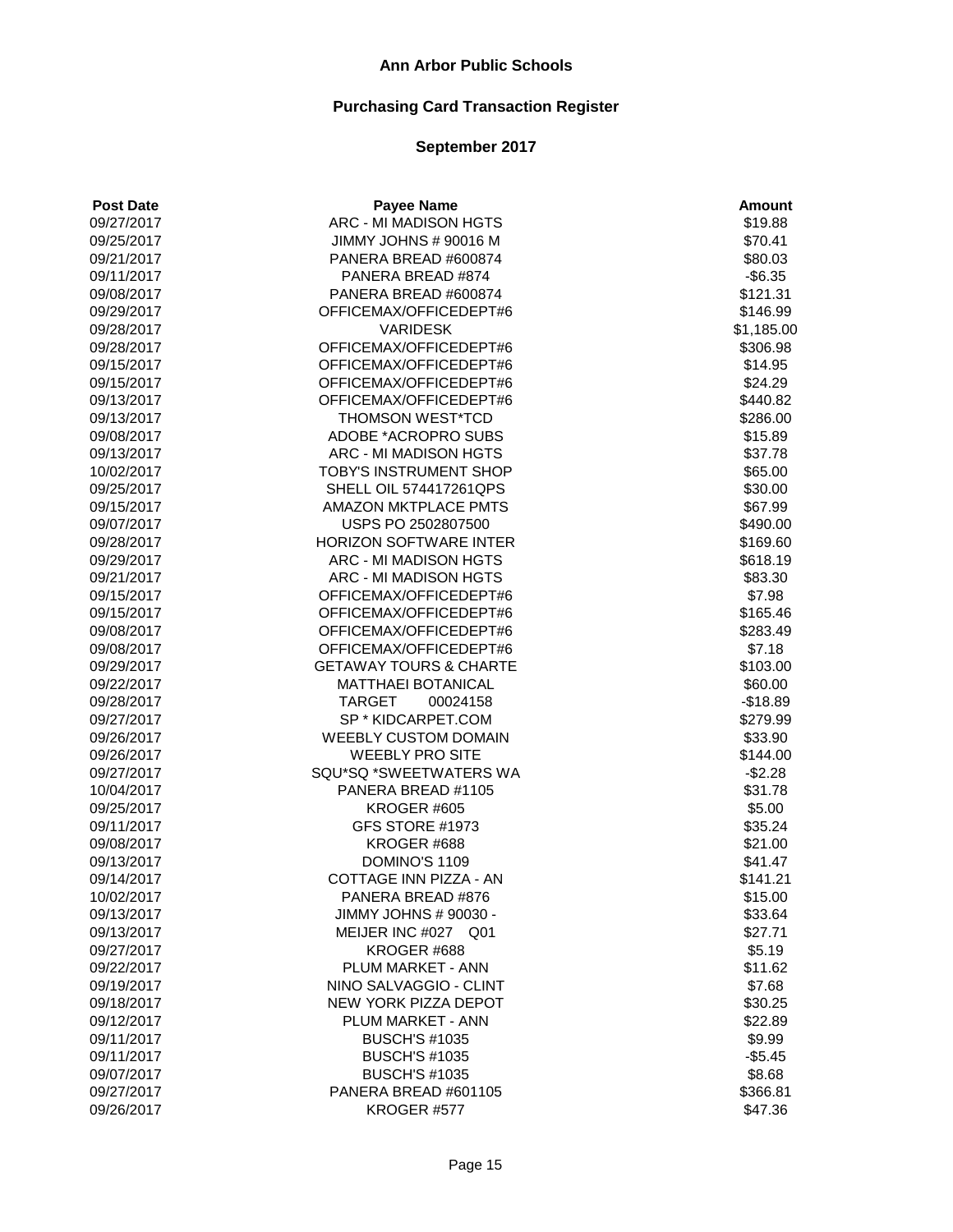# **Purchasing Card Transaction Register**

| <b>Post Date</b> | <b>Payee Name</b>                 | <b>Amount</b> |
|------------------|-----------------------------------|---------------|
| 09/27/2017       | ARC - MI MADISON HGTS             | \$19.88       |
| 09/25/2017       | JIMMY JOHNS # 90016 M             | \$70.41       |
| 09/21/2017       | PANERA BREAD #600874              | \$80.03       |
| 09/11/2017       | PANERA BREAD #874                 | $-$6.35$      |
| 09/08/2017       | PANERA BREAD #600874              | \$121.31      |
| 09/29/2017       | OFFICEMAX/OFFICEDEPT#6            | \$146.99      |
| 09/28/2017       | <b>VARIDESK</b>                   | \$1,185.00    |
| 09/28/2017       | OFFICEMAX/OFFICEDEPT#6            | \$306.98      |
| 09/15/2017       | OFFICEMAX/OFFICEDEPT#6            | \$14.95       |
| 09/15/2017       | OFFICEMAX/OFFICEDEPT#6            | \$24.29       |
| 09/13/2017       | OFFICEMAX/OFFICEDEPT#6            | \$440.82      |
| 09/13/2017       | THOMSON WEST*TCD                  | \$286.00      |
| 09/08/2017       | ADOBE *ACROPRO SUBS               | \$15.89       |
| 09/13/2017       | ARC - MI MADISON HGTS             | \$37.78       |
| 10/02/2017       | TOBY'S INSTRUMENT SHOP            | \$65.00       |
| 09/25/2017       | SHELL OIL 574417261QPS            | \$30.00       |
| 09/15/2017       | <b>AMAZON MKTPLACE PMTS</b>       | \$67.99       |
| 09/07/2017       | USPS PO 2502807500                | \$490.00      |
| 09/28/2017       | <b>HORIZON SOFTWARE INTER</b>     | \$169.60      |
| 09/29/2017       | ARC - MI MADISON HGTS             | \$618.19      |
| 09/21/2017       | ARC - MI MADISON HGTS             | \$83.30       |
| 09/15/2017       | OFFICEMAX/OFFICEDEPT#6            | \$7.98        |
| 09/15/2017       | OFFICEMAX/OFFICEDEPT#6            | \$165.46      |
| 09/08/2017       | OFFICEMAX/OFFICEDEPT#6            | \$283.49      |
| 09/08/2017       | OFFICEMAX/OFFICEDEPT#6            | \$7.18        |
| 09/29/2017       | <b>GETAWAY TOURS &amp; CHARTE</b> | \$103.00      |
| 09/22/2017       | <b>MATTHAEI BOTANICAL</b>         | \$60.00       |
| 09/28/2017       | <b>TARGET</b><br>00024158         | $-$18.89$     |
| 09/27/2017       | SP * KIDCARPET.COM                | \$279.99      |
| 09/26/2017       | <b>WEEBLY CUSTOM DOMAIN</b>       | \$33.90       |
| 09/26/2017       | <b>WEEBLY PRO SITE</b>            | \$144.00      |
| 09/27/2017       | SQU*SQ *SWEETWATERS WA            | $-$2.28$      |
| 10/04/2017       | PANERA BREAD #1105                | \$31.78       |
| 09/25/2017       | KROGER #605                       | \$5.00        |
| 09/11/2017       | GFS STORE #1973                   | \$35.24       |
| 09/08/2017       | KROGER #688                       | \$21.00       |
| 09/13/2017       | DOMINO'S 1109                     | \$41.47       |
| 09/14/2017       | COTTAGE INN PIZZA - AN            | \$141.21      |
| 10/02/2017       | PANERA BREAD #876                 | \$15.00       |
| 09/13/2017       | JIMMY JOHNS # 90030 -             | \$33.64       |
| 09/13/2017       | MEIJER INC #027 Q01               | \$27.71       |
| 09/27/2017       | KROGER #688                       | \$5.19        |
| 09/22/2017       | <b>PLUM MARKET - ANN</b>          | \$11.62       |
| 09/19/2017       | NINO SALVAGGIO - CLINT            | \$7.68        |
| 09/18/2017       | <b>NEW YORK PIZZA DEPOT</b>       | \$30.25       |
| 09/12/2017       | <b>PLUM MARKET - ANN</b>          | \$22.89       |
| 09/11/2017       | <b>BUSCH'S #1035</b>              | \$9.99        |
| 09/11/2017       | <b>BUSCH'S #1035</b>              | $-$5.45$      |
| 09/07/2017       | <b>BUSCH'S #1035</b>              | \$8.68        |
| 09/27/2017       | PANERA BREAD #601105              | \$366.81      |
| 09/26/2017       | KROGER #577                       | \$47.36       |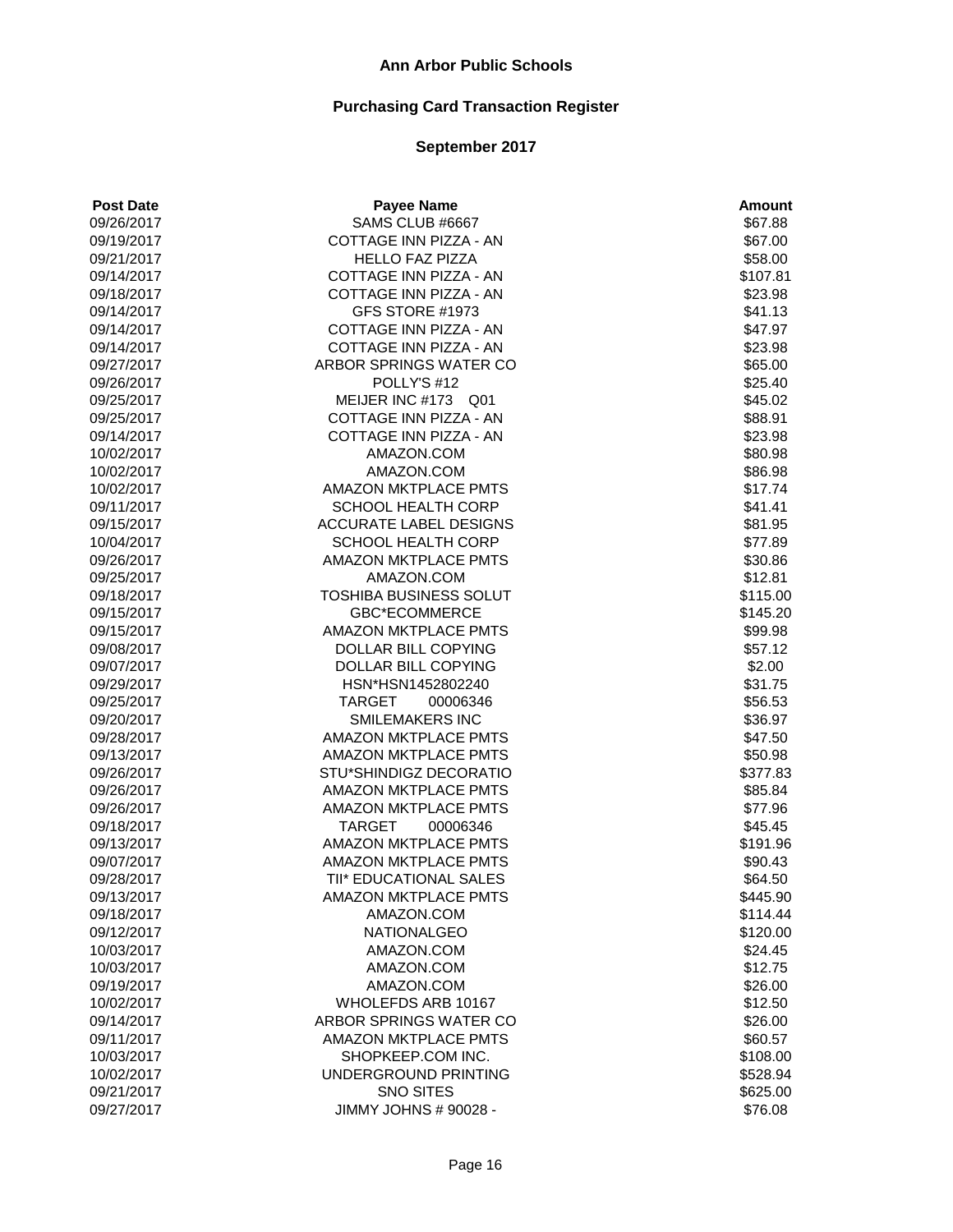| <b>Post Date</b> | <b>Payee Name</b>           | <b>Amount</b>     |
|------------------|-----------------------------|-------------------|
| 09/26/2017       | SAMS CLUB #6667             | \$67.88           |
| 09/19/2017       | COTTAGE INN PIZZA - AN      | \$67.00           |
| 09/21/2017       | <b>HELLO FAZ PIZZA</b>      | \$58.00           |
| 09/14/2017       | COTTAGE INN PIZZA - AN      | \$107.81          |
| 09/18/2017       | COTTAGE INN PIZZA - AN      | \$23.98           |
| 09/14/2017       | GFS STORE #1973             | \$41.13           |
| 09/14/2017       | COTTAGE INN PIZZA - AN      | \$47.97           |
| 09/14/2017       | COTTAGE INN PIZZA - AN      | \$23.98           |
| 09/27/2017       | ARBOR SPRINGS WATER CO      | \$65.00           |
| 09/26/2017       | POLLY'S #12                 | \$25.40           |
| 09/25/2017       | MEIJER INC #173 Q01         | \$45.02           |
| 09/25/2017       | COTTAGE INN PIZZA - AN      | \$88.91           |
| 09/14/2017       | COTTAGE INN PIZZA - AN      | \$23.98           |
| 10/02/2017       | AMAZON.COM                  | \$80.98           |
| 10/02/2017       | AMAZON.COM                  | \$86.98           |
| 10/02/2017       | <b>AMAZON MKTPLACE PMTS</b> | \$17.74           |
| 09/11/2017       | SCHOOL HEALTH CORP          | \$41.41           |
| 09/15/2017       | ACCURATE LABEL DESIGNS      | \$81.95           |
| 10/04/2017       | <b>SCHOOL HEALTH CORP</b>   | \$77.89           |
| 09/26/2017       | <b>AMAZON MKTPLACE PMTS</b> | \$30.86           |
| 09/25/2017       | AMAZON.COM                  | \$12.81           |
| 09/18/2017       | TOSHIBA BUSINESS SOLUT      | \$115.00          |
| 09/15/2017       | <b>GBC*ECOMMERCE</b>        | \$145.20          |
| 09/15/2017       | <b>AMAZON MKTPLACE PMTS</b> | \$99.98           |
| 09/08/2017       | DOLLAR BILL COPYING         | \$57.12           |
|                  | DOLLAR BILL COPYING         |                   |
| 09/07/2017       |                             | \$2.00<br>\$31.75 |
| 09/29/2017       | HSN*HSN1452802240           |                   |
| 09/25/2017       | <b>TARGET</b><br>00006346   | \$56.53           |
| 09/20/2017       | <b>SMILEMAKERS INC</b>      | \$36.97           |
| 09/28/2017       | <b>AMAZON MKTPLACE PMTS</b> | \$47.50           |
| 09/13/2017       | AMAZON MKTPLACE PMTS        | \$50.98           |
| 09/26/2017       | STU*SHINDIGZ DECORATIO      | \$377.83          |
| 09/26/2017       | <b>AMAZON MKTPLACE PMTS</b> | \$85.84           |
| 09/26/2017       | <b>AMAZON MKTPLACE PMTS</b> | \$77.96           |
| 09/18/2017       | <b>TARGET</b><br>00006346   | \$45.45           |
| 09/13/2017       | <b>AMAZON MKTPLACE PMTS</b> | \$191.96          |
| 09/07/2017       | <b>AMAZON MKTPLACE PMTS</b> | \$90.43           |
| 09/28/2017       | TII* EDUCATIONAL SALES      | \$64.50           |
| 09/13/2017       | AMAZON MKTPLACE PMTS        | \$445.90          |
| 09/18/2017       | AMAZON.COM                  | \$114.44          |
| 09/12/2017       | <b>NATIONALGEO</b>          | \$120.00          |
| 10/03/2017       | AMAZON.COM                  | \$24.45           |
| 10/03/2017       | AMAZON.COM                  | \$12.75           |
| 09/19/2017       | AMAZON.COM                  | \$26.00           |
| 10/02/2017       | WHOLEFDS ARB 10167          | \$12.50           |
| 09/14/2017       | ARBOR SPRINGS WATER CO      | \$26.00           |
| 09/11/2017       | <b>AMAZON MKTPLACE PMTS</b> | \$60.57           |
| 10/03/2017       | SHOPKEEP.COM INC.           | \$108.00          |
| 10/02/2017       | UNDERGROUND PRINTING        | \$528.94          |
| 09/21/2017       | <b>SNO SITES</b>            | \$625.00          |
| 09/27/2017       | JIMMY JOHNS # 90028 -       | \$76.08           |